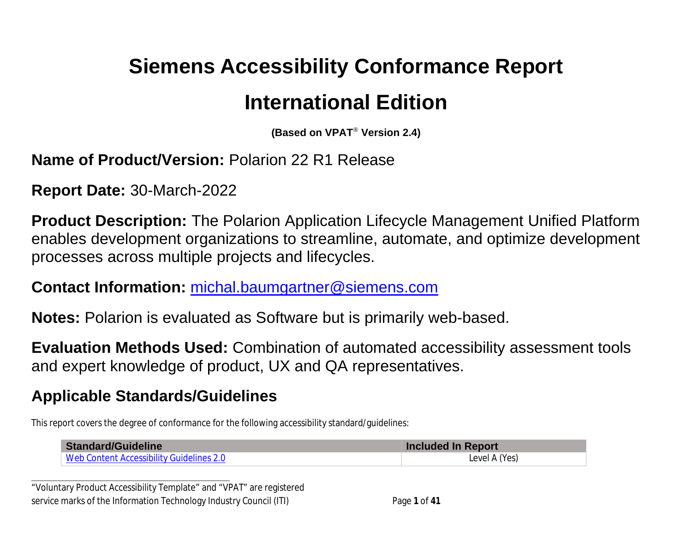# **Siemens Accessibility Conformance Report International Edition**

**(Based on VPAT**® **Version 2.4)**

#### **Name of Product/Version:** Polarion 22 R1 Release

**Report Date:** 30-March-2022

**Product Description:** The Polarion Application Lifecycle Management Unified Platform enables development organizations to streamline, automate, and optimize development processes across multiple projects and lifecycles.

#### **Contact Information:** [michal.baumgartner@siemens.com](mailto:michal.baumgartner@siemens.com)

**Notes:** Polarion is evaluated as Software but is primarily web-based.

**Evaluation Methods Used:** Combination of automated accessibility assessment tools and expert knowledge of product, UX and QA representatives.

# **Applicable Standards/Guidelines**

**\_\_\_\_\_\_\_\_\_\_\_\_\_\_\_\_\_\_\_\_\_\_\_\_\_\_\_\_\_\_\_\_\_\_**

This report covers the degree of conformance for the following accessibility standard/guidelines:

| Standard/Guideline                       | <b>Included In Report</b> |
|------------------------------------------|---------------------------|
| Web Content Accessibility Guidelines 2.0 | Level A (Yes)             |

"Voluntary Product Accessibility Template" and "VPAT" are registered service marks of the Information Technology Industry Council (ITI) Page **1** of **41**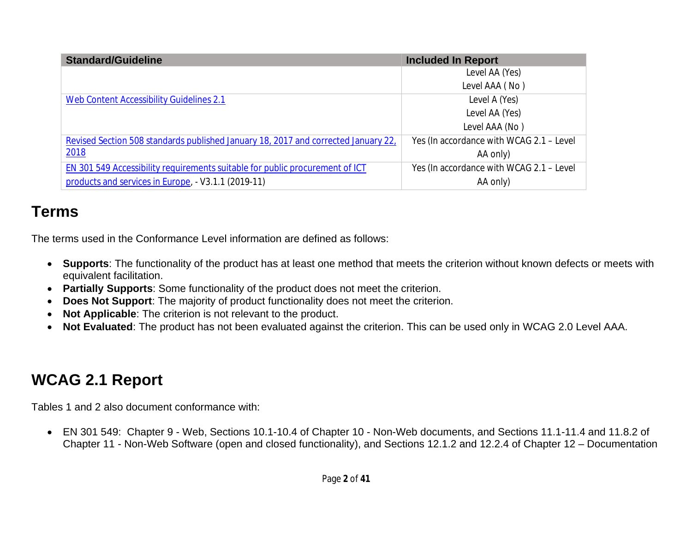| <b>Standard/Guideline</b>                                                          | <b>Included In Report</b>                |
|------------------------------------------------------------------------------------|------------------------------------------|
|                                                                                    | Level AA (Yes)                           |
|                                                                                    | Level AAA (No)                           |
| Web Content Accessibility Guidelines 2.1                                           | Level A (Yes)                            |
|                                                                                    | Level AA (Yes)                           |
|                                                                                    | Level AAA (No)                           |
| Revised Section 508 standards published January 18, 2017 and corrected January 22, | Yes (In accordance with WCAG 2.1 - Level |
| 2018                                                                               | AA only)                                 |
| EN 301 549 Accessibility requirements suitable for public procurement of ICT       | Yes (In accordance with WCAG 2.1 - Level |
| products and services in Europe, - V3.1.1 (2019-11)                                | AA only)                                 |

# **Terms**

The terms used in the Conformance Level information are defined as follows:

- **Supports**: The functionality of the product has at least one method that meets the criterion without known defects or meets with equivalent facilitation.
- **Partially Supports**: Some functionality of the product does not meet the criterion.
- **Does Not Support**: The majority of product functionality does not meet the criterion.
- **Not Applicable**: The criterion is not relevant to the product.
- **Not Evaluated**: The product has not been evaluated against the criterion. This can be used only in WCAG 2.0 Level AAA.

# <span id="page-1-0"></span>**WCAG 2.1 Report**

Tables 1 and 2 also document conformance with:

 EN 301 549: Chapter 9 - Web, Sections 10.1-10.4 of Chapter 10 - Non-Web documents, and Sections 11.1-11.4 and 11.8.2 of Chapter 11 - Non-Web Software (open and closed functionality), and Sections 12.1.2 and 12.2.4 of Chapter 12 – Documentation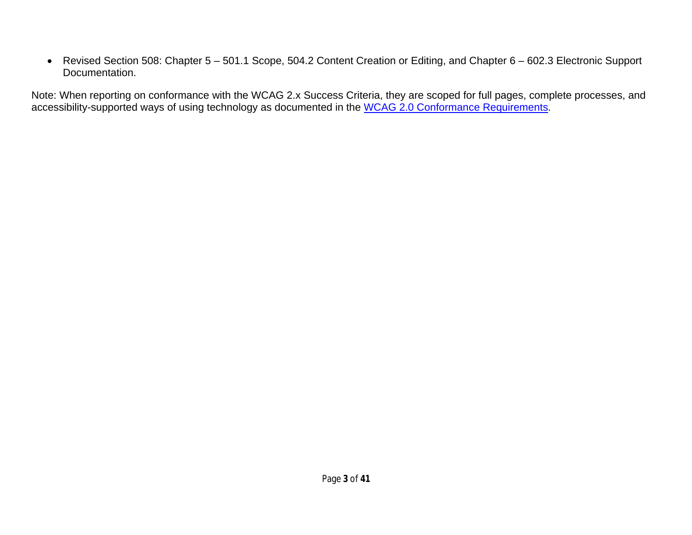Revised Section 508: Chapter 5 – 501.1 Scope, 504.2 Content Creation or Editing, and Chapter 6 – 602.3 Electronic Support Documentation.

Note: When reporting on conformance with the WCAG 2.x Success Criteria, they are scoped for full pages, complete processes, and accessibility-supported ways of using technology as documented in the [WCAG 2.0 Conformance Requirements.](https://www.w3.org/TR/WCAG20/#conformance-reqs)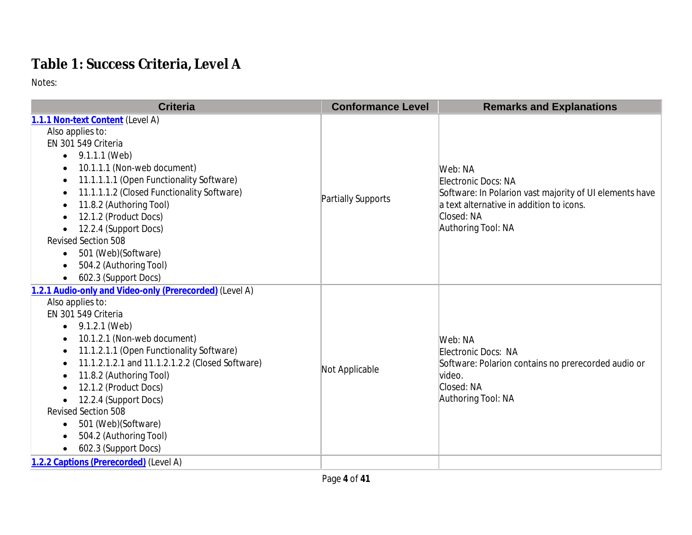# **Table 1: Success Criteria, Level A**

| <b>Criteria</b>                                         | <b>Conformance Level</b> | <b>Remarks and Explanations</b>                         |
|---------------------------------------------------------|--------------------------|---------------------------------------------------------|
| 1.1.1 Non-text Content (Level A)                        |                          |                                                         |
| Also applies to:                                        |                          |                                                         |
| EN 301 549 Criteria                                     |                          |                                                         |
| • $9.1.1.1$ (Web)                                       |                          |                                                         |
| 10.1.1.1 (Non-web document)                             |                          | Web: NA                                                 |
| 11.1.1.1.1 (Open Functionality Software)                |                          | Electronic Docs: NA                                     |
| 11.1.1.1.2 (Closed Functionality Software)              |                          | Software: In Polarion vast majority of UI elements have |
| 11.8.2 (Authoring Tool)                                 | Partially Supports       | a text alternative in addition to icons.                |
| 12.1.2 (Product Docs)                                   |                          | Closed: NA                                              |
| 12.2.4 (Support Docs)                                   |                          | Authoring Tool: NA                                      |
| <b>Revised Section 508</b>                              |                          |                                                         |
| 501 (Web) (Software)<br>$\bullet$                       |                          |                                                         |
| 504.2 (Authoring Tool)                                  |                          |                                                         |
| 602.3 (Support Docs)<br>$\bullet$                       |                          |                                                         |
| 1.2.1 Audio-only and Video-only (Prerecorded) (Level A) |                          |                                                         |
| Also applies to:                                        |                          |                                                         |
| EN 301 549 Criteria                                     |                          | Web: NA<br>Electronic Docs: NA                          |
| 9.1.2.1 (Web)<br>$\bullet$                              |                          |                                                         |
| 10.1.2.1 (Non-web document)                             |                          |                                                         |
| 11.1.2.1.1 (Open Functionality Software)                |                          |                                                         |
| 11.1.2.1.2.1 and 11.1.2.1.2.2 (Closed Software)         |                          | Software: Polarion contains no prerecorded audio or     |
| 11.8.2 (Authoring Tool)                                 | Not Applicable           | video.                                                  |
| 12.1.2 (Product Docs)                                   |                          | Closed: NA                                              |
| 12.2.4 (Support Docs)                                   |                          | Authoring Tool: NA                                      |
| <b>Revised Section 508</b>                              |                          |                                                         |
| 501 (Web)(Software)                                     |                          |                                                         |
| 504.2 (Authoring Tool)                                  |                          |                                                         |
| 602.3 (Support Docs)                                    |                          |                                                         |
| 1.2.2 Captions (Prerecorded) (Level A)                  |                          |                                                         |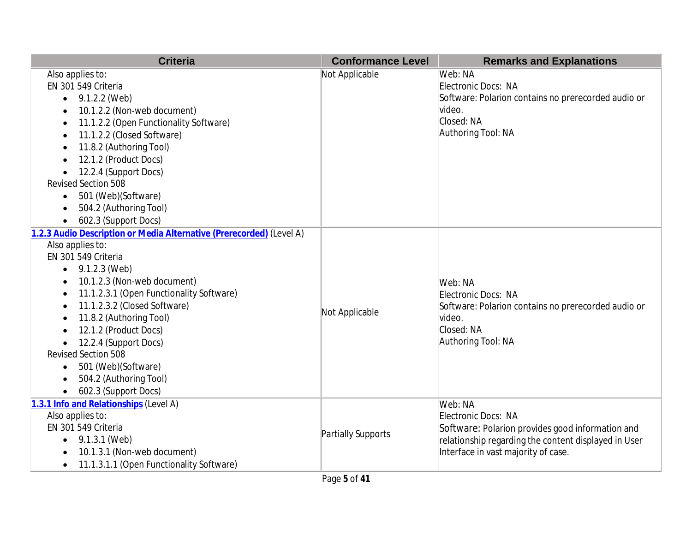| <b>Criteria</b>                                                      | <b>Conformance Level</b> | <b>Remarks and Explanations</b>                      |
|----------------------------------------------------------------------|--------------------------|------------------------------------------------------|
| Also applies to:                                                     | Not Applicable           | Web: NA                                              |
| EN 301 549 Criteria                                                  |                          | Electronic Docs: NA                                  |
| 9.1.2.2 (Web)<br>$\bullet$                                           |                          | Software: Polarion contains no prerecorded audio or  |
| 10.1.2.2 (Non-web document)                                          |                          | video.                                               |
| 11.1.2.2 (Open Functionality Software)<br>$\bullet$                  |                          | Closed: NA                                           |
| 11.1.2.2 (Closed Software)                                           |                          | Authoring Tool: NA                                   |
| 11.8.2 (Authoring Tool)                                              |                          |                                                      |
| 12.1.2 (Product Docs)                                                |                          |                                                      |
| 12.2.4 (Support Docs)                                                |                          |                                                      |
| <b>Revised Section 508</b>                                           |                          |                                                      |
| 501 (Web)(Software)<br>$\bullet$                                     |                          |                                                      |
| 504.2 (Authoring Tool)<br>$\bullet$                                  |                          |                                                      |
| 602.3 (Support Docs)                                                 |                          |                                                      |
| 1.2.3 Audio Description or Media Alternative (Prerecorded) (Level A) |                          |                                                      |
| Also applies to:                                                     |                          |                                                      |
| EN 301 549 Criteria                                                  |                          |                                                      |
| 9.1.2.3 (Web)<br>$\bullet$                                           |                          |                                                      |
| 10.1.2.3 (Non-web document)<br>$\bullet$                             |                          | Web: NA                                              |
| 11.1.2.3.1 (Open Functionality Software)                             |                          | Electronic Docs: NA                                  |
| 11.1.2.3.2 (Closed Software)                                         | Not Applicable           | Software: Polarion contains no prerecorded audio or  |
| 11.8.2 (Authoring Tool)                                              |                          | lvideo.                                              |
| 12.1.2 (Product Docs)                                                |                          | Closed: NA                                           |
| 12.2.4 (Support Docs)<br>$\bullet$                                   |                          | Authoring Tool: NA                                   |
| <b>Revised Section 508</b>                                           |                          |                                                      |
| 501 (Web) (Software)<br>$\bullet$                                    |                          |                                                      |
| 504.2 (Authoring Tool)                                               |                          |                                                      |
| 602.3 (Support Docs)                                                 |                          |                                                      |
| 1.3.1 Info and Relationships (Level A)                               |                          | Web: NA                                              |
| Also applies to:                                                     |                          | Electronic Docs: NA                                  |
| EN 301 549 Criteria                                                  | Partially Supports       | Software: Polarion provides good information and     |
| $\bullet$ 9.1.3.1 (Web)                                              |                          | relationship regarding the content displayed in User |
| 10.1.3.1 (Non-web document)                                          |                          | Interface in vast majority of case.                  |
| 11.1.3.1.1 (Open Functionality Software)                             |                          |                                                      |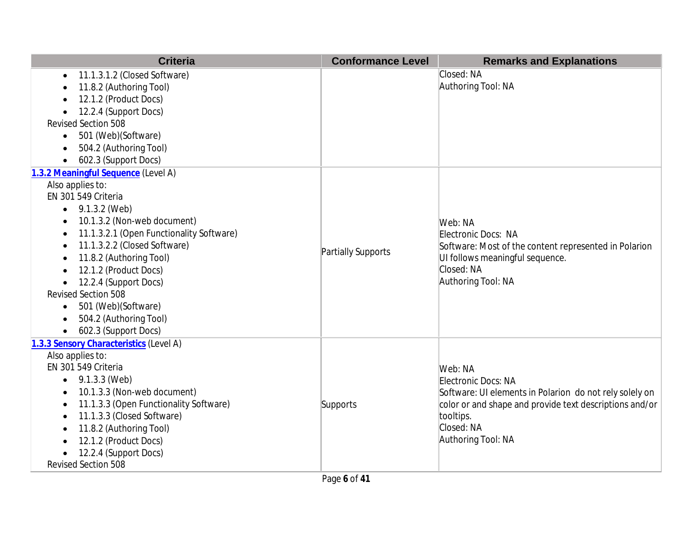| <b>Criteria</b>                           | <b>Conformance Level</b> | <b>Remarks and Explanations</b>                         |
|-------------------------------------------|--------------------------|---------------------------------------------------------|
| 11.1.3.1.2 (Closed Software)<br>$\bullet$ |                          | Closed: NA                                              |
| 11.8.2 (Authoring Tool)                   |                          | Authoring Tool: NA                                      |
| 12.1.2 (Product Docs)                     |                          |                                                         |
| 12.2.4 (Support Docs)                     |                          |                                                         |
| <b>Revised Section 508</b>                |                          |                                                         |
| 501 (Web)(Software)<br>$\bullet$          |                          |                                                         |
| 504.2 (Authoring Tool)                    |                          |                                                         |
| 602.3 (Support Docs)                      |                          |                                                         |
| 1.3.2 Meaningful Sequence (Level A)       |                          |                                                         |
| Also applies to:                          |                          |                                                         |
| EN 301 549 Criteria                       |                          |                                                         |
| 9.1.3.2 (Web)<br>$\bullet$                |                          |                                                         |
| 10.1.3.2 (Non-web document)               |                          | Web: NA                                                 |
| 11.1.3.2.1 (Open Functionality Software)  |                          | Electronic Docs: NA                                     |
| 11.1.3.2.2 (Closed Software)              | Partially Supports       | Software: Most of the content represented in Polarion   |
| 11.8.2 (Authoring Tool)                   |                          | UI follows meaningful sequence.                         |
| 12.1.2 (Product Docs)                     |                          | Closed: NA                                              |
| 12.2.4 (Support Docs)                     |                          | Authoring Tool: NA                                      |
| <b>Revised Section 508</b>                |                          |                                                         |
| 501 (Web)(Software)                       |                          |                                                         |
| 504.2 (Authoring Tool)                    |                          |                                                         |
| 602.3 (Support Docs)                      |                          |                                                         |
| 1.3.3 Sensory Characteristics (Level A)   |                          |                                                         |
| Also applies to:                          |                          |                                                         |
| EN 301 549 Criteria                       |                          | Web: NA                                                 |
| 9.1.3.3 (Web)                             |                          | Electronic Docs: NA                                     |
| 10.1.3.3 (Non-web document)               |                          | Software: UI elements in Polarion do not rely solely on |
| 11.1.3.3 (Open Functionality Software)    | Supports                 | color or and shape and provide text descriptions and/or |
| 11.1.3.3 (Closed Software)                |                          | tooltips.                                               |
| 11.8.2 (Authoring Tool)                   |                          | Closed: NA                                              |
| 12.1.2 (Product Docs)                     |                          | Authoring Tool: NA                                      |
| 12.2.4 (Support Docs)                     |                          |                                                         |
| Revised Section 508                       |                          |                                                         |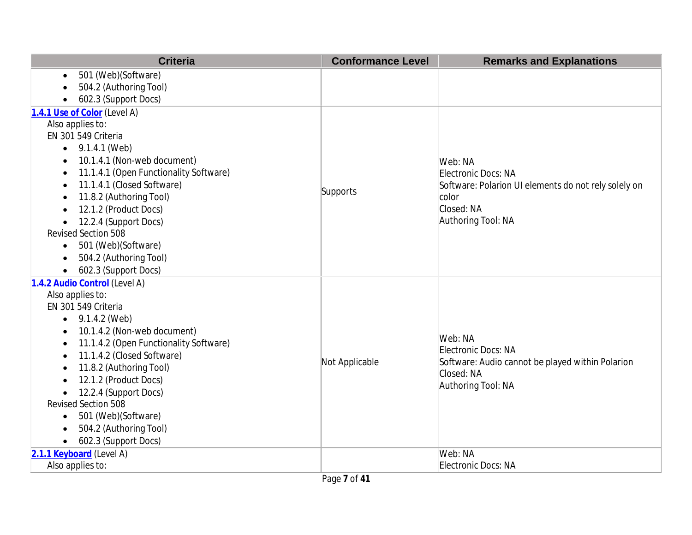| <b>Criteria</b>                                     | <b>Conformance Level</b> | <b>Remarks and Explanations</b>                                         |
|-----------------------------------------------------|--------------------------|-------------------------------------------------------------------------|
| 501 (Web)(Software)<br>$\bullet$                    |                          |                                                                         |
| 504.2 (Authoring Tool)                              |                          |                                                                         |
| 602.3 (Support Docs)                                |                          |                                                                         |
| 1.4.1 Use of Color (Level A)                        |                          |                                                                         |
| Also applies to:                                    |                          |                                                                         |
| EN 301 549 Criteria                                 |                          |                                                                         |
| 9.1.4.1 (Web)<br>$\bullet$                          |                          |                                                                         |
| 10.1.4.1 (Non-web document)<br>٠                    |                          | Web: NA                                                                 |
| 11.1.4.1 (Open Functionality Software)<br>$\bullet$ |                          | Electronic Docs: NA                                                     |
| 11.1.4.1 (Closed Software)                          | Supports                 | Software: Polarion UI elements do not rely solely on                    |
| 11.8.2 (Authoring Tool)<br>$\bullet$                |                          | color                                                                   |
| 12.1.2 (Product Docs)                               |                          | Closed: NA<br>Authoring Tool: NA                                        |
| 12.2.4 (Support Docs)<br><b>Revised Section 508</b> |                          |                                                                         |
| 501 (Web) (Software)<br>$\bullet$                   |                          |                                                                         |
| 504.2 (Authoring Tool)<br>$\bullet$                 |                          |                                                                         |
| 602.3 (Support Docs)<br>$\bullet$                   |                          |                                                                         |
| 1.4.2 Audio Control (Level A)                       |                          |                                                                         |
| Also applies to:                                    |                          |                                                                         |
| EN 301 549 Criteria                                 |                          |                                                                         |
| 9.1.4.2 (Web)<br>$\bullet$                          |                          |                                                                         |
| 10.1.4.2 (Non-web document)<br>$\bullet$            |                          |                                                                         |
| 11.1.4.2 (Open Functionality Software)<br>$\bullet$ |                          | Web: NA                                                                 |
| 11.1.4.2 (Closed Software)<br>$\bullet$             | Not Applicable           | Electronic Docs: NA<br>Software: Audio cannot be played within Polarion |
| 11.8.2 (Authoring Tool)                             |                          | Closed: NA                                                              |
| 12.1.2 (Product Docs)                               |                          | Authoring Tool: NA                                                      |
| 12.2.4 (Support Docs)<br>$\bullet$                  |                          |                                                                         |
| <b>Revised Section 508</b>                          |                          |                                                                         |
| 501 (Web) (Software)<br>$\bullet$                   |                          |                                                                         |
| 504.2 (Authoring Tool)                              |                          |                                                                         |
| 602.3 (Support Docs)<br>$\bullet$                   |                          |                                                                         |
| 2.1.1 Keyboard (Level A)                            |                          | Web: NA                                                                 |
| Also applies to:                                    |                          | Electronic Docs: NA                                                     |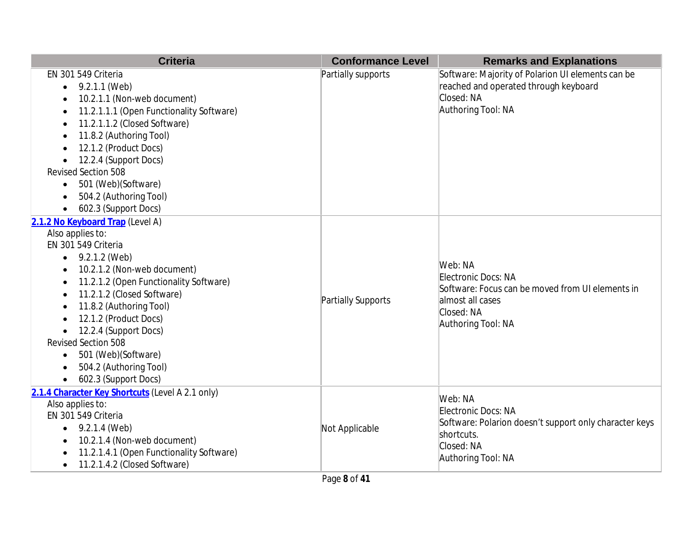| <b>Criteria</b>                                                                                                                                                                                                                                                                                                                                                                               | <b>Conformance Level</b> | <b>Remarks and Explanations</b>                                                                                                            |
|-----------------------------------------------------------------------------------------------------------------------------------------------------------------------------------------------------------------------------------------------------------------------------------------------------------------------------------------------------------------------------------------------|--------------------------|--------------------------------------------------------------------------------------------------------------------------------------------|
| EN 301 549 Criteria<br>9.2.1.1 (Web)<br>10.2.1.1 (Non-web document)<br>11.2.1.1.1 (Open Functionality Software)<br>11.2.1.1.2 (Closed Software)<br>11.8.2 (Authoring Tool)<br>12.1.2 (Product Docs)<br>12.2.4 (Support Docs)<br><b>Revised Section 508</b><br>501 (Web)(Software)<br>$\bullet$<br>504.2 (Authoring Tool)<br>602.3 (Support Docs)                                              | Partially supports       | Software: Majority of Polarion UI elements can be<br>reached and operated through keyboard<br>Closed: NA<br>Authoring Tool: NA             |
| 2.1.2 No Keyboard Trap (Level A)<br>Also applies to:<br>EN 301 549 Criteria<br>9.2.1.2 (Web)<br>10.2.1.2 (Non-web document)<br>11.2.1.2 (Open Functionality Software)<br>11.2.1.2 (Closed Software)<br>11.8.2 (Authoring Tool)<br>12.1.2 (Product Docs)<br>12.2.4 (Support Docs)<br>Revised Section 508<br>501 (Web)(Software)<br>$\bullet$<br>504.2 (Authoring Tool)<br>602.3 (Support Docs) | Partially Supports       | Web: NA<br>Electronic Docs: NA<br>Software: Focus can be moved from UI elements in<br>almost all cases<br>Closed: NA<br>Authoring Tool: NA |
| 2.1.4 Character Key Shortcuts (Level A 2.1 only)<br>Also applies to:<br>EN 301 549 Criteria<br>9.2.1.4 (Web)<br>$\bullet$<br>10.2.1.4 (Non-web document)<br>11.2.1.4.1 (Open Functionality Software)<br>11.2.1.4.2 (Closed Software)                                                                                                                                                          | Not Applicable           | Web: NA<br>Electronic Docs: NA<br>Software: Polarion doesn't support only character keys<br>shortcuts.<br>Closed: NA<br>Authoring Tool: NA |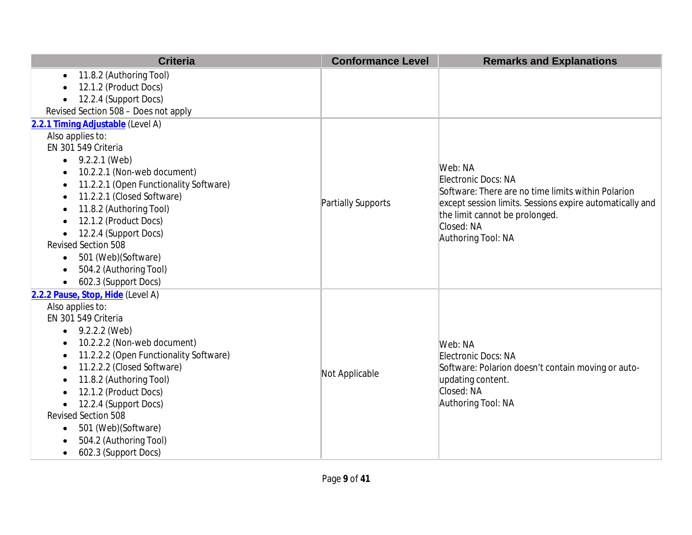| <b>Criteria</b>                                     | <b>Conformance Level</b> | <b>Remarks and Explanations</b>                                           |
|-----------------------------------------------------|--------------------------|---------------------------------------------------------------------------|
| 11.8.2 (Authoring Tool)<br>$\bullet$                |                          |                                                                           |
| 12.1.2 (Product Docs)                               |                          |                                                                           |
| 12.2.4 (Support Docs)                               |                          |                                                                           |
| Revised Section 508 - Does not apply                |                          |                                                                           |
| 2.2.1 Timing Adjustable (Level A)                   |                          |                                                                           |
| Also applies to:                                    |                          |                                                                           |
| EN 301 549 Criteria                                 |                          |                                                                           |
| 9.2.2.1 (Web)<br>$\bullet$                          |                          |                                                                           |
| 10.2.2.1 (Non-web document)                         |                          | Web: NA                                                                   |
| 11.2.2.1 (Open Functionality Software)<br>$\bullet$ |                          | Electronic Docs: NA<br>Software: There are no time limits within Polarion |
| 11.2.2.1 (Closed Software)<br>$\bullet$             | Partially Supports       | except session limits. Sessions expire automatically and                  |
| 11.8.2 (Authoring Tool)<br>$\bullet$                |                          | the limit cannot be prolonged.                                            |
| 12.1.2 (Product Docs)                               |                          | Closed: NA                                                                |
| 12.2.4 (Support Docs)<br>$\bullet$                  |                          | Authoring Tool: NA                                                        |
| Revised Section 508                                 |                          |                                                                           |
| 501 (Web)(Software)<br>$\bullet$                    |                          |                                                                           |
| 504.2 (Authoring Tool)<br>$\bullet$                 |                          |                                                                           |
| 602.3 (Support Docs)<br>$\bullet$                   |                          |                                                                           |
| 2.2.2 Pause, Stop, Hide (Level A)                   |                          |                                                                           |
| Also applies to:                                    |                          |                                                                           |
| EN 301 549 Criteria                                 |                          |                                                                           |
| 9.2.2.2 (Web)<br>$\bullet$                          |                          |                                                                           |
| 10.2.2.2 (Non-web document)<br>$\bullet$            |                          | Web: NA                                                                   |
| 11.2.2.2 (Open Functionality Software)<br>$\bullet$ |                          | Electronic Docs: NA                                                       |
| 11.2.2.2 (Closed Software)<br>$\bullet$             | Not Applicable           | Software: Polarion doesn't contain moving or auto-                        |
| 11.8.2 (Authoring Tool)<br>$\bullet$                |                          | updating content.                                                         |
| 12.1.2 (Product Docs)                               |                          | Closed: NA                                                                |
| 12.2.4 (Support Docs)<br>$\bullet$                  |                          | Authoring Tool: NA                                                        |
| <b>Revised Section 508</b>                          |                          |                                                                           |
| 501 (Web)(Software)<br>$\bullet$                    |                          |                                                                           |
| 504.2 (Authoring Tool)<br>$\bullet$                 |                          |                                                                           |
| 602.3 (Support Docs)<br>$\bullet$                   |                          |                                                                           |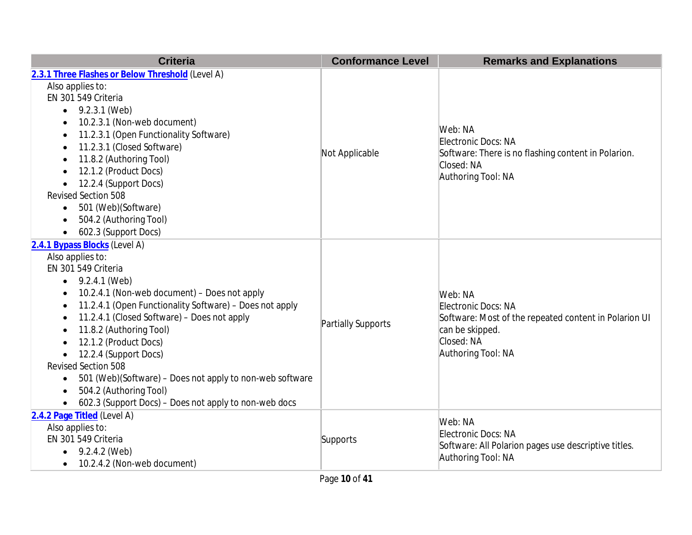| <b>Criteria</b>                                                       | <b>Conformance Level</b> | <b>Remarks and Explanations</b>                                                         |
|-----------------------------------------------------------------------|--------------------------|-----------------------------------------------------------------------------------------|
| 2.3.1 Three Flashes or Below Threshold (Level A)                      |                          |                                                                                         |
| Also applies to:                                                      |                          |                                                                                         |
| EN 301 549 Criteria                                                   |                          |                                                                                         |
| 9.2.3.1 (Web)<br>$\bullet$                                            |                          |                                                                                         |
| 10.2.3.1 (Non-web document)                                           |                          |                                                                                         |
| 11.2.3.1 (Open Functionality Software)<br>$\bullet$                   |                          | Web: NA                                                                                 |
| 11.2.3.1 (Closed Software)                                            |                          | Electronic Docs: NA                                                                     |
| 11.8.2 (Authoring Tool)                                               | Not Applicable           | Software: There is no flashing content in Polarion.<br>Closed: NA                       |
| 12.1.2 (Product Docs)                                                 |                          | Authoring Tool: NA                                                                      |
| 12.2.4 (Support Docs)<br>$\bullet$                                    |                          |                                                                                         |
| <b>Revised Section 508</b>                                            |                          |                                                                                         |
| 501 (Web)(Software)<br>$\bullet$                                      |                          |                                                                                         |
| 504.2 (Authoring Tool)                                                |                          |                                                                                         |
| 602.3 (Support Docs)                                                  |                          |                                                                                         |
| 2.4.1 Bypass Blocks (Level A)                                         |                          |                                                                                         |
| Also applies to:                                                      |                          |                                                                                         |
| EN 301 549 Criteria                                                   |                          | Web: NA<br>Electronic Docs: NA<br>Software: Most of the repeated content in Polarion UI |
| 9.2.4.1 (Web)<br>$\bullet$                                            |                          |                                                                                         |
| 10.2.4.1 (Non-web document) - Does not apply                          |                          |                                                                                         |
| 11.2.4.1 (Open Functionality Software) - Does not apply<br>$\bullet$  |                          |                                                                                         |
| 11.2.4.1 (Closed Software) - Does not apply<br>$\bullet$              | Partially Supports       |                                                                                         |
| 11.8.2 (Authoring Tool)<br>$\bullet$                                  |                          | can be skipped.                                                                         |
| 12.1.2 (Product Docs)<br>$\bullet$                                    |                          | Closed: NA                                                                              |
| 12.2.4 (Support Docs)                                                 |                          | Authoring Tool: NA                                                                      |
| Revised Section 508                                                   |                          |                                                                                         |
| 501 (Web)(Software) – Does not apply to non-web software<br>$\bullet$ |                          |                                                                                         |
| 504.2 (Authoring Tool)<br>$\bullet$                                   |                          |                                                                                         |
| 602.3 (Support Docs) - Does not apply to non-web docs<br>$\bullet$    |                          |                                                                                         |
| 2.4.2 Page Titled (Level A)                                           |                          | Web: NA                                                                                 |
| Also applies to:                                                      |                          | Electronic Docs: NA                                                                     |
| EN 301 549 Criteria                                                   | Supports                 | Software: All Polarion pages use descriptive titles.                                    |
| 9.2.4.2 (Web)<br>$\bullet$                                            |                          | Authoring Tool: NA                                                                      |
| 10.2.4.2 (Non-web document)<br>$\bullet$                              |                          |                                                                                         |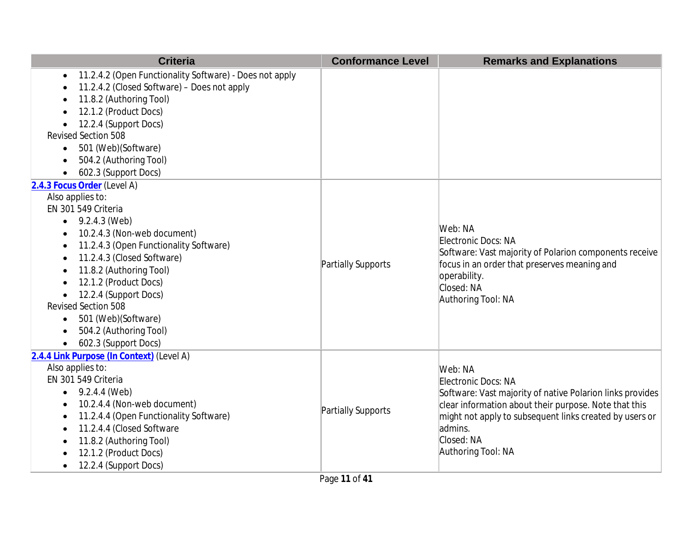| <b>Criteria</b>                                                                                                                                                                                                                                                                                                                                                                          | <b>Conformance Level</b> | <b>Remarks and Explanations</b>                                                                                                                                                                                                                                |
|------------------------------------------------------------------------------------------------------------------------------------------------------------------------------------------------------------------------------------------------------------------------------------------------------------------------------------------------------------------------------------------|--------------------------|----------------------------------------------------------------------------------------------------------------------------------------------------------------------------------------------------------------------------------------------------------------|
| 11.2.4.2 (Open Functionality Software) - Does not apply<br>$\bullet$<br>11.2.4.2 (Closed Software) - Does not apply<br>11.8.2 (Authoring Tool)<br>12.1.2 (Product Docs)<br>12.2.4 (Support Docs)                                                                                                                                                                                         |                          |                                                                                                                                                                                                                                                                |
| Revised Section 508                                                                                                                                                                                                                                                                                                                                                                      |                          |                                                                                                                                                                                                                                                                |
| 501 (Web)(Software)<br>٠<br>504.2 (Authoring Tool)<br>602.3 (Support Docs)                                                                                                                                                                                                                                                                                                               |                          |                                                                                                                                                                                                                                                                |
| 2.4.3 Focus Order (Level A)<br>Also applies to:<br>EN 301 549 Criteria<br>9.2.4.3 (Web)<br>10.2.4.3 (Non-web document)<br>11.2.4.3 (Open Functionality Software)<br>11.2.4.3 (Closed Software)<br>11.8.2 (Authoring Tool)<br>12.1.2 (Product Docs)<br>12.2.4 (Support Docs)<br>Revised Section 508<br>501 (Web)(Software)<br>$\bullet$<br>504.2 (Authoring Tool)<br>602.3 (Support Docs) | Partially Supports       | Web: NA<br>Electronic Docs: NA<br>Software: Vast majority of Polarion components receive<br>focus in an order that preserves meaning and<br>operability.<br>Closed: NA<br>Authoring Tool: NA                                                                   |
| 2.4.4 Link Purpose (In Context) (Level A)<br>Also applies to:<br>EN 301 549 Criteria<br>9.2.4.4 (Web)<br>10.2.4.4 (Non-web document)<br>11.2.4.4 (Open Functionality Software)<br>$\bullet$<br>11.2.4.4 (Closed Software<br>11.8.2 (Authoring Tool)<br>12.1.2 (Product Docs)<br>12.2.4 (Support Docs)                                                                                    | Partially Supports       | Web: NA<br>Electronic Docs: NA<br>Software: Vast majority of native Polarion links provides<br>clear information about their purpose. Note that this<br>might not apply to subsequent links created by users or<br>admins.<br>Closed: NA<br>Authoring Tool: NA |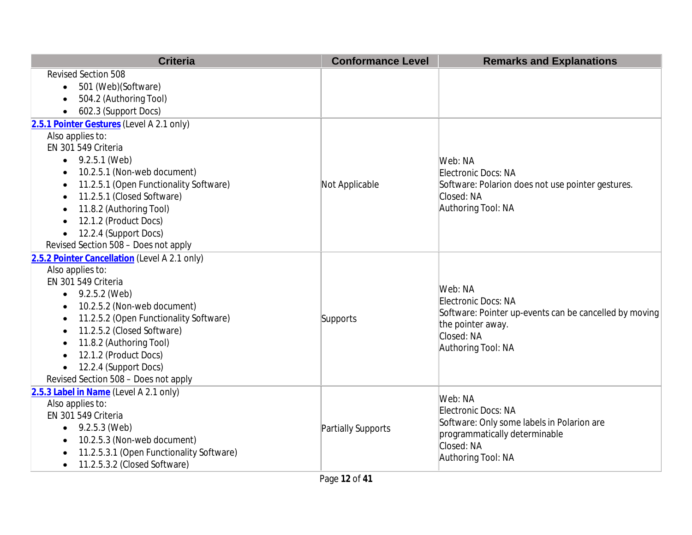| <b>Criteria</b>                                     | <b>Conformance Level</b> | <b>Remarks and Explanations</b>                        |
|-----------------------------------------------------|--------------------------|--------------------------------------------------------|
| <b>Revised Section 508</b>                          |                          |                                                        |
| 501 (Web)(Software)<br>$\bullet$                    |                          |                                                        |
| 504.2 (Authoring Tool)<br>$\bullet$                 |                          |                                                        |
| 602.3 (Support Docs)<br>$\bullet$                   |                          |                                                        |
| 2.5.1 Pointer Gestures (Level A 2.1 only)           |                          |                                                        |
| Also applies to:                                    |                          |                                                        |
| EN 301 549 Criteria                                 |                          |                                                        |
| 9.2.5.1 (Web)<br>$\bullet$                          |                          | Web: NA                                                |
| 10.2.5.1 (Non-web document)<br>$\bullet$            |                          | Electronic Docs: NA                                    |
| 11.2.5.1 (Open Functionality Software)<br>$\bullet$ | Not Applicable           | Software: Polarion does not use pointer gestures.      |
| 11.2.5.1 (Closed Software)<br>$\bullet$             |                          | Closed: NA                                             |
| 11.8.2 (Authoring Tool)<br>$\bullet$                |                          | Authoring Tool: NA                                     |
| 12.1.2 (Product Docs)                               |                          |                                                        |
| 12.2.4 (Support Docs)<br>$\bullet$                  |                          |                                                        |
| Revised Section 508 - Does not apply                |                          |                                                        |
| 2.5.2 Pointer Cancellation (Level A 2.1 only)       |                          |                                                        |
| Also applies to:                                    |                          |                                                        |
| EN 301 549 Criteria                                 |                          | Web: NA                                                |
| • $9.2.5.2$ (Web)                                   |                          | Electronic Docs: NA                                    |
| 10.2.5.2 (Non-web document)<br>$\bullet$            |                          | Software: Pointer up-events can be cancelled by moving |
| 11.2.5.2 (Open Functionality Software)<br>٠         | Supports                 | the pointer away.                                      |
| 11.2.5.2 (Closed Software)<br>$\bullet$             |                          | Closed: NA                                             |
| 11.8.2 (Authoring Tool)<br>$\bullet$                |                          | Authoring Tool: NA                                     |
| 12.1.2 (Product Docs)<br>$\bullet$                  |                          |                                                        |
| 12.2.4 (Support Docs)<br>$\bullet$                  |                          |                                                        |
| Revised Section 508 - Does not apply                |                          |                                                        |
| 2.5.3 Label in Name (Level A 2.1 only)              |                          | Web: NA                                                |
| Also applies to:                                    |                          | Electronic Docs: NA                                    |
| EN 301 549 Criteria                                 |                          | Software: Only some labels in Polarion are             |
| 9.2.5.3 (Web)<br>$\bullet$                          | Partially Supports       | programmatically determinable                          |
| 10.2.5.3 (Non-web document)<br>$\bullet$            |                          | Closed: NA                                             |
| 11.2.5.3.1 (Open Functionality Software)            |                          | Authoring Tool: NA                                     |
| 11.2.5.3.2 (Closed Software)<br>$\bullet$           |                          |                                                        |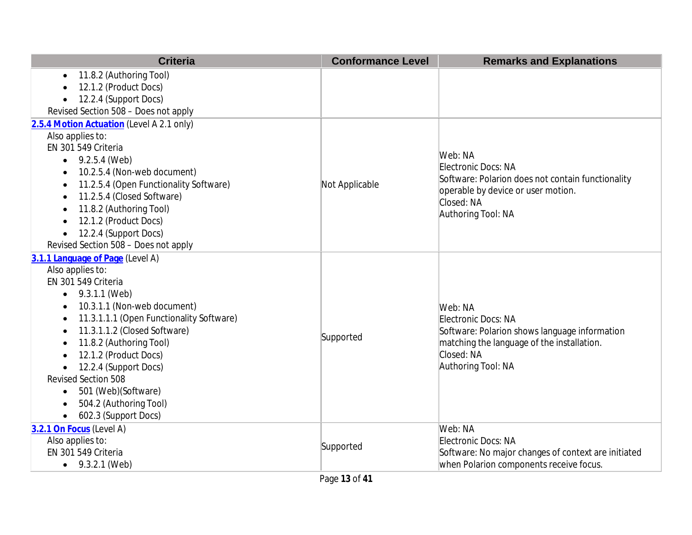| <b>Criteria</b>                                       | <b>Conformance Level</b> | <b>Remarks and Explanations</b>                     |
|-------------------------------------------------------|--------------------------|-----------------------------------------------------|
| 11.8.2 (Authoring Tool)<br>$\bullet$                  |                          |                                                     |
| 12.1.2 (Product Docs)                                 |                          |                                                     |
| 12.2.4 (Support Docs)                                 |                          |                                                     |
| Revised Section 508 - Does not apply                  |                          |                                                     |
| 2.5.4 Motion Actuation (Level A 2.1 only)             |                          |                                                     |
| Also applies to:                                      |                          |                                                     |
| EN 301 549 Criteria                                   |                          |                                                     |
| 9.2.5.4 (Web)<br>$\bullet$                            |                          | Web: NA                                             |
| 10.2.5.4 (Non-web document)                           |                          | Electronic Docs: NA                                 |
| 11.2.5.4 (Open Functionality Software)                | Not Applicable           | Software: Polarion does not contain functionality   |
| 11.2.5.4 (Closed Software)                            |                          | operable by device or user motion.<br>Closed: NA    |
| 11.8.2 (Authoring Tool)                               |                          | Authoring Tool: NA                                  |
| 12.1.2 (Product Docs)<br>$\bullet$                    |                          |                                                     |
| 12.2.4 (Support Docs)<br>$\bullet$                    |                          |                                                     |
| Revised Section 508 - Does not apply                  |                          |                                                     |
| 3.1.1 Language of Page (Level A)                      |                          |                                                     |
| Also applies to:                                      |                          |                                                     |
| EN 301 549 Criteria                                   |                          |                                                     |
| $\bullet$ 9.3.1.1 (Web)                               |                          |                                                     |
| 10.3.1.1 (Non-web document)<br>$\bullet$              |                          | Web: NA                                             |
| 11.3.1.1.1 (Open Functionality Software)<br>$\bullet$ |                          | Electronic Docs: NA                                 |
| 11.3.1.1.2 (Closed Software)<br>$\bullet$             |                          | Software: Polarion shows language information       |
| 11.8.2 (Authoring Tool)<br>$\bullet$                  | Supported                | matching the language of the installation.          |
| 12.1.2 (Product Docs)                                 |                          | Closed: NA                                          |
| 12.2.4 (Support Docs)<br>$\bullet$                    |                          | Authoring Tool: NA                                  |
| <b>Revised Section 508</b>                            |                          |                                                     |
| 501 (Web)(Software)<br>$\bullet$                      |                          |                                                     |
| 504.2 (Authoring Tool)                                |                          |                                                     |
| 602.3 (Support Docs)<br>$\bullet$                     |                          |                                                     |
| 3.2.1 On Focus (Level A)                              |                          | Web: NA                                             |
| Also applies to:                                      | Supported                | Electronic Docs: NA                                 |
| EN 301 549 Criteria                                   |                          | Software: No major changes of context are initiated |
| • $9.3.2.1$ (Web)                                     |                          | when Polarion components receive focus.             |
|                                                       | Page 13 of 41            |                                                     |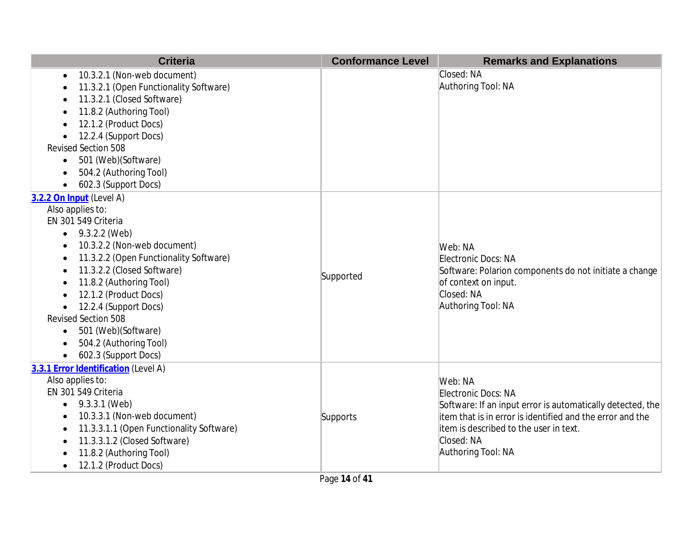| <b>Criteria</b>                          | <b>Conformance Level</b> | <b>Remarks and Explanations</b>                            |
|------------------------------------------|--------------------------|------------------------------------------------------------|
| 10.3.2.1 (Non-web document)              |                          | Closed: NA                                                 |
| 11.3.2.1 (Open Functionality Software)   |                          | Authoring Tool: NA                                         |
| 11.3.2.1 (Closed Software)               |                          |                                                            |
| 11.8.2 (Authoring Tool)                  |                          |                                                            |
| 12.1.2 (Product Docs)                    |                          |                                                            |
| 12.2.4 (Support Docs)                    |                          |                                                            |
| <b>Revised Section 508</b>               |                          |                                                            |
| 501 (Web)(Software)<br>$\bullet$         |                          |                                                            |
| 504.2 (Authoring Tool)                   |                          |                                                            |
| 602.3 (Support Docs)<br>$\bullet$        |                          |                                                            |
| 3.2.2 On Input (Level A)                 |                          |                                                            |
| Also applies to:                         |                          |                                                            |
| EN 301 549 Criteria                      |                          |                                                            |
| 9.3.2.2 (Web)                            |                          |                                                            |
| 10.3.2.2 (Non-web document)              |                          | Web: NA                                                    |
| 11.3.2.2 (Open Functionality Software)   |                          | Electronic Docs: NA                                        |
| 11.3.2.2 (Closed Software)               | Supported                | Software: Polarion components do not initiate a change     |
| 11.8.2 (Authoring Tool)                  |                          | of context on input.                                       |
| 12.1.2 (Product Docs)                    |                          | Closed: NA                                                 |
| 12.2.4 (Support Docs)                    |                          | Authoring Tool: NA                                         |
| <b>Revised Section 508</b>               |                          |                                                            |
| 501 (Web)(Software)<br>$\bullet$         |                          |                                                            |
| 504.2 (Authoring Tool)                   |                          |                                                            |
| 602.3 (Support Docs)                     |                          |                                                            |
| 3.3.1 Error Identification (Level A)     |                          |                                                            |
| Also applies to:                         |                          | Web: NA                                                    |
| EN 301 549 Criteria                      |                          | Electronic Docs: NA                                        |
| 9.3.3.1 (Web)<br>$\bullet$               |                          | Software: If an input error is automatically detected, the |
| 10.3.3.1 (Non-web document)              | Supports                 | item that is in error is identified and the error and the  |
| 11.3.3.1.1 (Open Functionality Software) |                          | litem is described to the user in text.                    |
| 11.3.3.1.2 (Closed Software)             |                          | Closed: NA                                                 |
| 11.8.2 (Authoring Tool)                  |                          | Authoring Tool: NA                                         |
| 12.1.2 (Product Docs)                    |                          |                                                            |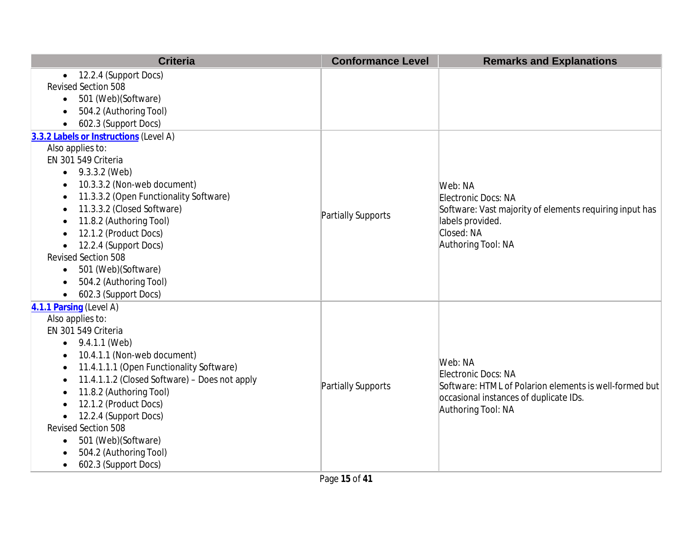| <b>Criteria</b>                                       | <b>Conformance Level</b> | <b>Remarks and Explanations</b>                         |
|-------------------------------------------------------|--------------------------|---------------------------------------------------------|
| 12.2.4 (Support Docs)<br>$\bullet$                    |                          |                                                         |
| Revised Section 508                                   |                          |                                                         |
| 501 (Web)(Software)<br>$\bullet$                      |                          |                                                         |
| 504.2 (Authoring Tool)<br>$\bullet$                   |                          |                                                         |
| 602.3 (Support Docs)<br>$\bullet$                     |                          |                                                         |
| 3.3.2 Labels or Instructions (Level A)                |                          |                                                         |
| Also applies to:                                      |                          |                                                         |
| EN 301 549 Criteria                                   |                          |                                                         |
| 9.3.3.2 (Web)<br>$\bullet$                            |                          |                                                         |
| 10.3.3.2 (Non-web document)                           |                          | Web: NA                                                 |
| 11.3.3.2 (Open Functionality Software)<br>$\bullet$   |                          | Electronic Docs: NA                                     |
| 11.3.3.2 (Closed Software)                            | Partially Supports       | Software: Vast majority of elements requiring input has |
| 11.8.2 (Authoring Tool)                               |                          | labels provided.                                        |
| 12.1.2 (Product Docs)                                 |                          | Closed: NA                                              |
| 12.2.4 (Support Docs)                                 |                          | Authoring Tool: NA                                      |
| Revised Section 508                                   |                          |                                                         |
| 501 (Web)(Software)                                   |                          |                                                         |
| 504.2 (Authoring Tool)                                |                          |                                                         |
| 602.3 (Support Docs)                                  |                          |                                                         |
| 4.1.1 Parsing (Level A)                               |                          |                                                         |
| Also applies to:                                      |                          |                                                         |
| EN 301 549 Criteria                                   |                          |                                                         |
| 9.4.1.1 (Web)<br>$\bullet$                            |                          |                                                         |
| 10.4.1.1 (Non-web document)<br>$\bullet$              |                          | Web: NA                                                 |
| 11.4.1.1.1 (Open Functionality Software)<br>$\bullet$ |                          | Electronic Docs: NA                                     |
| 11.4.1.1.2 (Closed Software) - Does not apply         | Partially Supports       | Software: HTML of Polarion elements is well-formed but  |
| 11.8.2 (Authoring Tool)<br>$\bullet$                  |                          | occasional instances of duplicate IDs.                  |
| 12.1.2 (Product Docs)                                 |                          | Authoring Tool: NA                                      |
| 12.2.4 (Support Docs)<br>$\bullet$                    |                          |                                                         |
| <b>Revised Section 508</b>                            |                          |                                                         |
| 501 (Web) (Software)<br>$\bullet$                     |                          |                                                         |
| 504.2 (Authoring Tool)                                |                          |                                                         |
| 602.3 (Support Docs)                                  |                          |                                                         |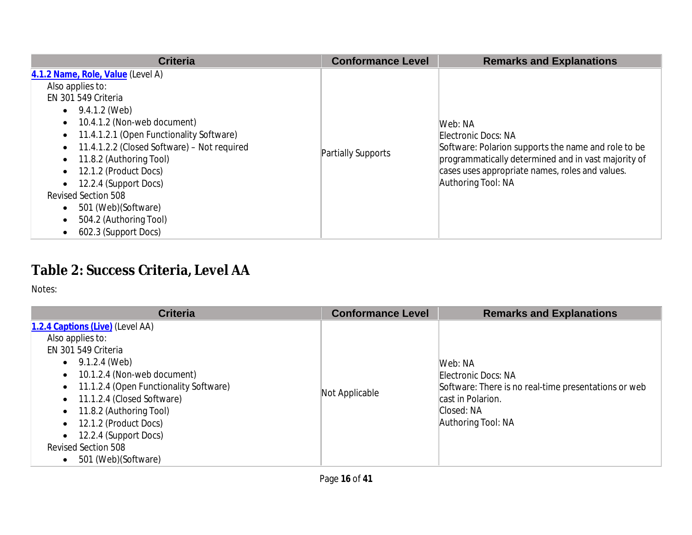| <b>Criteria</b>                                                                                                                                                                                                                                                                                                                                                                                                                                                                                        | <b>Conformance Level</b> | <b>Remarks and Explanations</b>                                                                                                                                                                                       |
|--------------------------------------------------------------------------------------------------------------------------------------------------------------------------------------------------------------------------------------------------------------------------------------------------------------------------------------------------------------------------------------------------------------------------------------------------------------------------------------------------------|--------------------------|-----------------------------------------------------------------------------------------------------------------------------------------------------------------------------------------------------------------------|
| 4.1.2 Name, Role, Value (Level A)<br>Also applies to:<br>EN 301 549 Criteria<br>$\bullet$ 9.4.1.2 (Web)<br>10.4.1.2 (Non-web document)<br>$\bullet$<br>11.4.1.2.1 (Open Functionality Software)<br>$\bullet$<br>11.4.1.2.2 (Closed Software) - Not required<br>$\bullet$<br>11.8.2 (Authoring Tool)<br>$\bullet$<br>12.1.2 (Product Docs)<br>$\bullet$<br>12.2.4 (Support Docs)<br>$\bullet$<br><b>Revised Section 508</b><br>501 (Web) (Software)<br>$\bullet$<br>504.2 (Authoring Tool)<br>$\bullet$ | Partially Supports       | Web: NA<br>Electronic Docs: NA<br>Software: Polarion supports the name and role to be<br>programmatically determined and in vast majority of<br>cases uses appropriate names, roles and values.<br>Authoring Tool: NA |
| 602.3 (Support Docs)<br>$\bullet$                                                                                                                                                                                                                                                                                                                                                                                                                                                                      |                          |                                                                                                                                                                                                                       |

# **Table 2: Success Criteria, Level AA**

| <b>Criteria</b>                                                                                                                                                                                                                                                                                                                        | <b>Conformance Level</b> | <b>Remarks and Explanations</b>                                                                                                                 |
|----------------------------------------------------------------------------------------------------------------------------------------------------------------------------------------------------------------------------------------------------------------------------------------------------------------------------------------|--------------------------|-------------------------------------------------------------------------------------------------------------------------------------------------|
| 1.2.4 Captions (Live) (Level AA)<br>Also applies to:<br>EN 301 549 Criteria<br>9.1.2.4 (Web)<br>10.1.2.4 (Non-web document)<br>11.1.2.4 (Open Functionality Software)<br>11.1.2.4 (Closed Software)<br>11.8.2 (Authoring Tool)<br>12.1.2 (Product Docs)<br>12.2.4 (Support Docs)<br><b>Revised Section 508</b><br>501 (Web) (Software) | Not Applicable           | Web: NA<br>Electronic Docs: NA<br>Software: There is no real-time presentations or web<br>cast in Polarion.<br>Closed: NA<br>Authoring Tool: NA |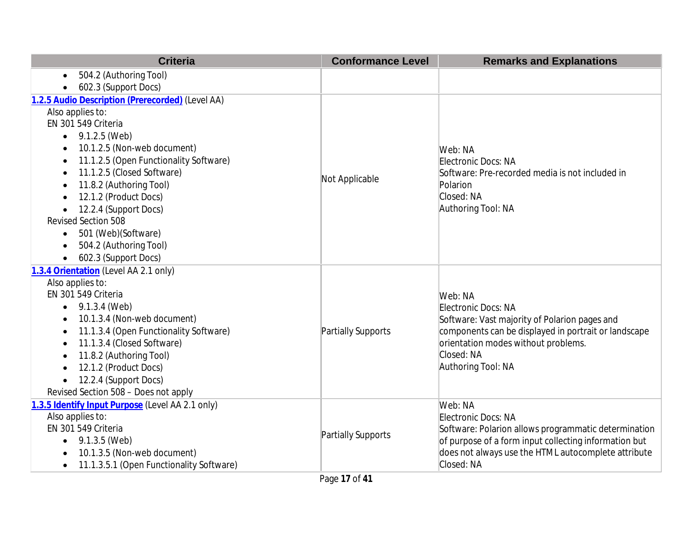| <b>Criteria</b>                                     | <b>Conformance Level</b> | <b>Remarks and Explanations</b>                       |
|-----------------------------------------------------|--------------------------|-------------------------------------------------------|
| 504.2 (Authoring Tool)<br>$\bullet$                 |                          |                                                       |
| 602.3 (Support Docs)                                |                          |                                                       |
| 1.2.5 Audio Description (Prerecorded) (Level AA)    |                          |                                                       |
| Also applies to:                                    |                          |                                                       |
| EN 301 549 Criteria                                 |                          |                                                       |
| 9.1.2.5 (Web)<br>$\bullet$                          |                          |                                                       |
| 10.1.2.5 (Non-web document)                         |                          | Web: NA                                               |
| 11.1.2.5 (Open Functionality Software)              |                          | Electronic Docs: NA                                   |
| 11.1.2.5 (Closed Software)<br>$\bullet$             | Not Applicable           | Software: Pre-recorded media is not included in       |
| 11.8.2 (Authoring Tool)                             |                          | Polarion                                              |
| 12.1.2 (Product Docs)                               |                          | Closed: NA                                            |
| 12.2.4 (Support Docs)                               |                          | Authoring Tool: NA                                    |
| Revised Section 508                                 |                          |                                                       |
| 501 (Web)(Software)<br>$\bullet$                    |                          |                                                       |
| 504.2 (Authoring Tool)<br>$\bullet$                 |                          |                                                       |
| 602.3 (Support Docs)<br>$\bullet$                   |                          |                                                       |
| 1.3.4 Orientation (Level AA 2.1 only)               |                          |                                                       |
| Also applies to:                                    |                          |                                                       |
| EN 301 549 Criteria                                 |                          | Web: NA                                               |
| 9.1.3.4 (Web)                                       |                          | Electronic Docs: NA                                   |
| 10.1.3.4 (Non-web document)                         |                          | Software: Vast majority of Polarion pages and         |
| 11.1.3.4 (Open Functionality Software)<br>$\bullet$ | Partially Supports       | components can be displayed in portrait or landscape  |
| 11.1.3.4 (Closed Software)<br>$\bullet$             |                          | orientation modes without problems.                   |
| 11.8.2 (Authoring Tool)                             |                          | Closed: NA                                            |
| 12.1.2 (Product Docs)                               |                          | Authoring Tool: NA                                    |
| 12.2.4 (Support Docs)                               |                          |                                                       |
| Revised Section 508 - Does not apply                |                          |                                                       |
| 1.3.5 Identify Input Purpose (Level AA 2.1 only)    |                          | Web: NA                                               |
| Also applies to:                                    |                          | Electronic Docs: NA                                   |
| EN 301 549 Criteria                                 | Partially Supports       | Software: Polarion allows programmatic determination  |
| 9.1.3.5 (Web)                                       |                          | of purpose of a form input collecting information but |
| 10.1.3.5 (Non-web document)                         |                          | does not always use the HTML autocomplete attribute   |
| 11.1.3.5.1 (Open Functionality Software)            |                          | Closed: NA                                            |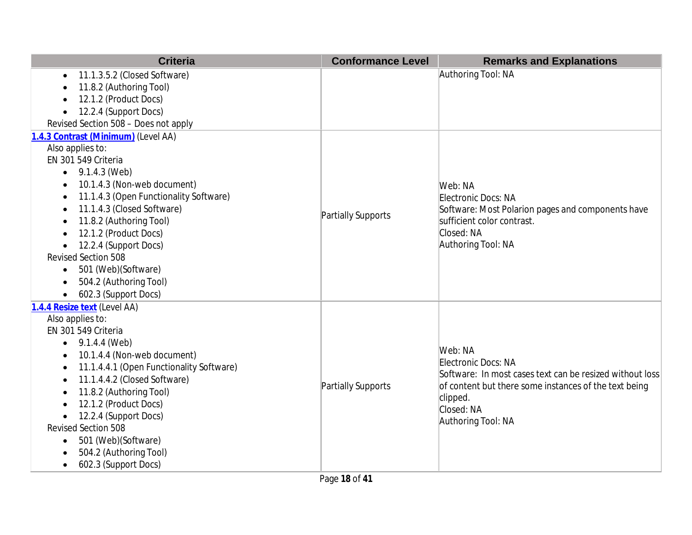| <b>Criteria</b>                                     | <b>Conformance Level</b> | <b>Remarks and Explanations</b>                          |
|-----------------------------------------------------|--------------------------|----------------------------------------------------------|
| 11.1.3.5.2 (Closed Software)<br>$\bullet$           |                          | Authoring Tool: NA                                       |
| 11.8.2 (Authoring Tool)                             |                          |                                                          |
| 12.1.2 (Product Docs)                               |                          |                                                          |
| 12.2.4 (Support Docs)<br>$\bullet$                  |                          |                                                          |
| Revised Section 508 - Does not apply                |                          |                                                          |
| 1.4.3 Contrast (Minimum) (Level AA)                 |                          |                                                          |
| Also applies to:                                    |                          |                                                          |
| EN 301 549 Criteria                                 |                          |                                                          |
| 9.1.4.3 (Web)<br>$\bullet$                          |                          |                                                          |
| 10.1.4.3 (Non-web document)<br>$\bullet$            |                          | Web: NA                                                  |
| 11.1.4.3 (Open Functionality Software)<br>$\bullet$ |                          | Electronic Docs: NA                                      |
| 11.1.4.3 (Closed Software)                          | Partially Supports       | Software: Most Polarion pages and components have        |
| 11.8.2 (Authoring Tool)                             |                          | sufficient color contrast.                               |
| 12.1.2 (Product Docs)                               |                          | Closed: NA                                               |
| 12.2.4 (Support Docs)                               |                          | Authoring Tool: NA                                       |
| Revised Section 508                                 |                          |                                                          |
| 501 (Web)(Software)<br>$\bullet$                    |                          |                                                          |
| 504.2 (Authoring Tool)                              |                          |                                                          |
| 602.3 (Support Docs)                                |                          |                                                          |
| 1.4.4 Resize text (Level AA)                        |                          |                                                          |
| Also applies to:                                    |                          |                                                          |
| EN 301 549 Criteria                                 |                          |                                                          |
| 9.1.4.4 (Web)<br>$\bullet$                          |                          | Web: NA                                                  |
| 10.1.4.4 (Non-web document)<br>$\bullet$            |                          | Electronic Docs: NA                                      |
| 11.1.4.4.1 (Open Functionality Software)<br>٠       |                          | Software: In most cases text can be resized without loss |
| 11.1.4.4.2 (Closed Software)                        | Partially Supports       | of content but there some instances of the text being    |
| 11.8.2 (Authoring Tool)                             |                          | clipped.                                                 |
| 12.1.2 (Product Docs)                               |                          | Closed: NA                                               |
| 12.2.4 (Support Docs)                               |                          | Authoring Tool: NA                                       |
| <b>Revised Section 508</b>                          |                          |                                                          |
| 501 (Web)(Software)<br>٠                            |                          |                                                          |
| 504.2 (Authoring Tool)                              |                          |                                                          |
| 602.3 (Support Docs)                                |                          |                                                          |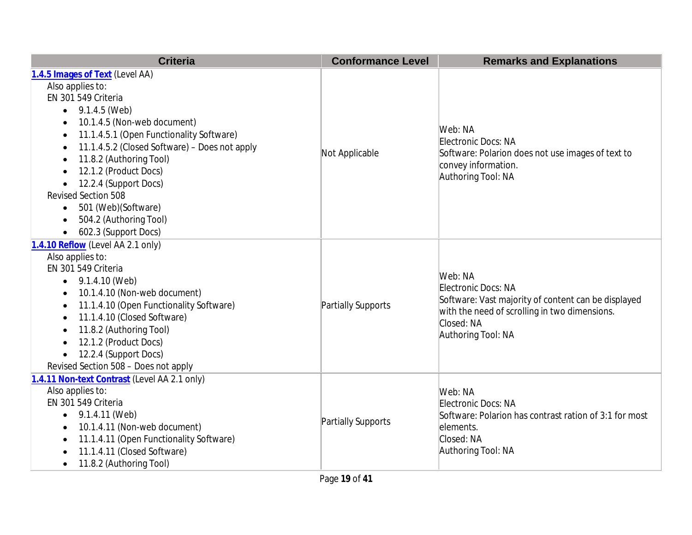| <b>Criteria</b>                                            | <b>Conformance Level</b> | <b>Remarks and Explanations</b>                                                                                                                                            |
|------------------------------------------------------------|--------------------------|----------------------------------------------------------------------------------------------------------------------------------------------------------------------------|
| 1.4.5 Images of Text (Level AA)                            |                          |                                                                                                                                                                            |
| Also applies to:                                           |                          |                                                                                                                                                                            |
| EN 301 549 Criteria                                        |                          |                                                                                                                                                                            |
| 9.1.4.5 (Web)<br>$\bullet$                                 |                          |                                                                                                                                                                            |
| 10.1.4.5 (Non-web document)<br>$\bullet$                   |                          | Web: NA                                                                                                                                                                    |
| 11.1.4.5.1 (Open Functionality Software)<br>$\bullet$      |                          |                                                                                                                                                                            |
| 11.1.4.5.2 (Closed Software) - Does not apply<br>$\bullet$ |                          | Electronic Docs: NA                                                                                                                                                        |
| 11.8.2 (Authoring Tool)<br>$\bullet$                       | Not Applicable           | Software: Polarion does not use images of text to                                                                                                                          |
| 12.1.2 (Product Docs)<br>$\bullet$                         |                          | convey information.<br>Authoring Tool: NA                                                                                                                                  |
| 12.2.4 (Support Docs)<br>$\bullet$                         |                          |                                                                                                                                                                            |
| Revised Section 508                                        |                          |                                                                                                                                                                            |
| 501 (Web)(Software)<br>$\bullet$                           |                          |                                                                                                                                                                            |
| 504.2 (Authoring Tool)<br>$\bullet$                        |                          |                                                                                                                                                                            |
| 602.3 (Support Docs)                                       |                          |                                                                                                                                                                            |
| 1.4.10 Reflow (Level AA 2.1 only)                          |                          |                                                                                                                                                                            |
| Also applies to:                                           |                          |                                                                                                                                                                            |
| EN 301 549 Criteria                                        |                          | Web: NA<br>Electronic Docs: NA<br>Software: Vast majority of content can be displayed<br>with the need of scrolling in two dimensions.<br>Closed: NA<br>Authoring Tool: NA |
| $\bullet$ 9.1.4.10 (Web)                                   |                          |                                                                                                                                                                            |
| 10.1.4.10 (Non-web document)                               |                          |                                                                                                                                                                            |
| 11.1.4.10 (Open Functionality Software)<br>$\bullet$       | Partially Supports       |                                                                                                                                                                            |
| 11.1.4.10 (Closed Software)<br>$\bullet$                   |                          |                                                                                                                                                                            |
| 11.8.2 (Authoring Tool)<br>$\bullet$                       |                          |                                                                                                                                                                            |
| 12.1.2 (Product Docs)<br>$\bullet$                         |                          |                                                                                                                                                                            |
| 12.2.4 (Support Docs)<br>$\bullet$                         |                          |                                                                                                                                                                            |
| Revised Section 508 - Does not apply                       |                          |                                                                                                                                                                            |
| 1.4.11 Non-text Contrast (Level AA 2.1 only)               |                          |                                                                                                                                                                            |
| Also applies to:                                           |                          | Web: NA                                                                                                                                                                    |
| EN 301 549 Criteria                                        |                          | Electronic Docs: NA                                                                                                                                                        |
| 9.1.4.11 (Web)<br>$\bullet$                                | Partially Supports       | Software: Polarion has contrast ration of 3:1 for most                                                                                                                     |
| 10.1.4.11 (Non-web document)<br>$\bullet$                  |                          | lelements.                                                                                                                                                                 |
| 11.1.4.11 (Open Functionality Software)                    |                          | Closed: NA                                                                                                                                                                 |
| 11.1.4.11 (Closed Software)                                |                          | Authoring Tool: NA                                                                                                                                                         |
| 11.8.2 (Authoring Tool)<br>$\bullet$                       |                          |                                                                                                                                                                            |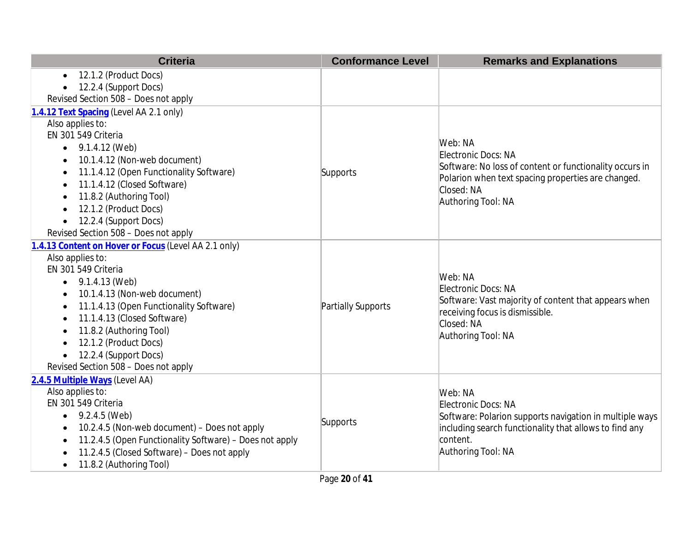| <b>Criteria</b>                                         | <b>Conformance Level</b> | <b>Remarks and Explanations</b>                                                                                                                               |
|---------------------------------------------------------|--------------------------|---------------------------------------------------------------------------------------------------------------------------------------------------------------|
| 12.1.2 (Product Docs)<br>$\bullet$                      |                          |                                                                                                                                                               |
| 12.2.4 (Support Docs)                                   |                          |                                                                                                                                                               |
| Revised Section 508 - Does not apply                    |                          |                                                                                                                                                               |
| 1.4.12 Text Spacing (Level AA 2.1 only)                 |                          |                                                                                                                                                               |
| Also applies to:                                        |                          |                                                                                                                                                               |
| EN 301 549 Criteria                                     |                          | Web: NA                                                                                                                                                       |
| 9.1.4.12 (Web)                                          |                          |                                                                                                                                                               |
| 10.1.4.12 (Non-web document)<br>$\bullet$               |                          | Electronic Docs: NA                                                                                                                                           |
| 11.1.4.12 (Open Functionality Software)<br>$\bullet$    | Supports                 | Software: No loss of content or functionality occurs in                                                                                                       |
| 11.1.4.12 (Closed Software)<br>$\bullet$                |                          | Polarion when text spacing properties are changed.<br>Closed: NA                                                                                              |
| 11.8.2 (Authoring Tool)<br>$\bullet$                    |                          | Authoring Tool: NA                                                                                                                                            |
| 12.1.2 (Product Docs)                                   |                          |                                                                                                                                                               |
| 12.2.4 (Support Docs)                                   |                          |                                                                                                                                                               |
| Revised Section 508 - Does not apply                    |                          |                                                                                                                                                               |
| 1.4.13 Content on Hover or Focus (Level AA 2.1 only)    |                          |                                                                                                                                                               |
| Also applies to:                                        |                          | Web: NA<br>Electronic Docs: NA<br>Software: Vast majority of content that appears when<br>receiving focus is dismissible.<br>Closed: NA<br>Authoring Tool: NA |
| EN 301 549 Criteria                                     |                          |                                                                                                                                                               |
| $\bullet$ 9.1.4.13 (Web)                                | Partially Supports       |                                                                                                                                                               |
| 10.1.4.13 (Non-web document)                            |                          |                                                                                                                                                               |
| 11.1.4.13 (Open Functionality Software)<br>$\bullet$    |                          |                                                                                                                                                               |
| 11.1.4.13 (Closed Software)<br>$\bullet$                |                          |                                                                                                                                                               |
| 11.8.2 (Authoring Tool)<br>$\bullet$                    |                          |                                                                                                                                                               |
| 12.1.2 (Product Docs)<br>$\bullet$                      |                          |                                                                                                                                                               |
| 12.2.4 (Support Docs)                                   |                          |                                                                                                                                                               |
| Revised Section 508 - Does not apply                    |                          |                                                                                                                                                               |
| 2.4.5 Multiple Ways (Level AA)                          |                          |                                                                                                                                                               |
| Also applies to:                                        |                          | Web: NA                                                                                                                                                       |
| EN 301 549 Criteria                                     | Supports                 | Electronic Docs: NA                                                                                                                                           |
| 9.2.4.5 (Web)<br>$\bullet$                              |                          | Software: Polarion supports navigation in multiple ways                                                                                                       |
| 10.2.4.5 (Non-web document) - Does not apply            |                          | including search functionality that allows to find any                                                                                                        |
| 11.2.4.5 (Open Functionality Software) - Does not apply |                          | content.                                                                                                                                                      |
| 11.2.4.5 (Closed Software) - Does not apply             |                          | Authoring Tool: NA                                                                                                                                            |
| 11.8.2 (Authoring Tool)<br>$\bullet$                    |                          |                                                                                                                                                               |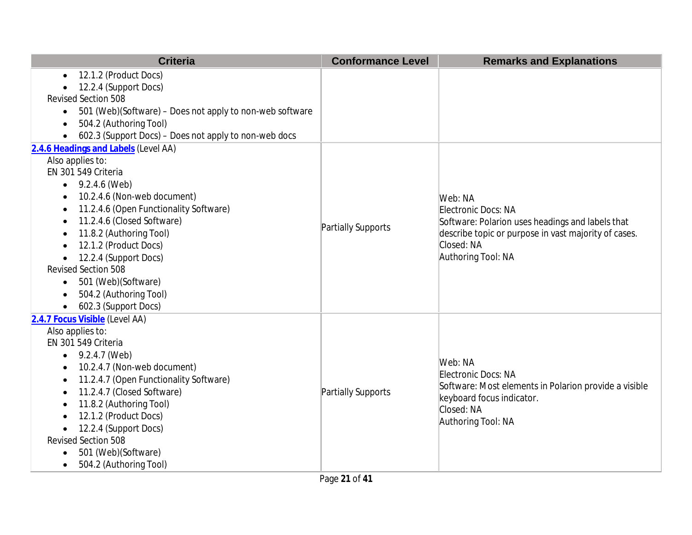| <b>Criteria</b>                                                       | <b>Conformance Level</b> | <b>Remarks and Explanations</b>                       |
|-----------------------------------------------------------------------|--------------------------|-------------------------------------------------------|
| 12.1.2 (Product Docs)<br>$\bullet$                                    |                          |                                                       |
| 12.2.4 (Support Docs)                                                 |                          |                                                       |
| <b>Revised Section 508</b>                                            |                          |                                                       |
| 501 (Web)(Software) - Does not apply to non-web software<br>$\bullet$ |                          |                                                       |
| 504.2 (Authoring Tool)<br>$\bullet$                                   |                          |                                                       |
| 602.3 (Support Docs) - Does not apply to non-web docs                 |                          |                                                       |
| 2.4.6 Headings and Labels (Level AA)                                  |                          |                                                       |
| Also applies to:                                                      |                          |                                                       |
| EN 301 549 Criteria                                                   |                          |                                                       |
| 9.2.4.6 (Web)<br>$\bullet$                                            |                          |                                                       |
| 10.2.4.6 (Non-web document)<br>$\bullet$                              |                          | Web: NA                                               |
| 11.2.4.6 (Open Functionality Software)                                |                          | Electronic Docs: NA                                   |
| 11.2.4.6 (Closed Software)                                            | Partially Supports       | Software: Polarion uses headings and labels that      |
| 11.8.2 (Authoring Tool)<br>$\bullet$                                  |                          | describe topic or purpose in vast majority of cases.  |
| 12.1.2 (Product Docs)                                                 |                          | Closed: NA                                            |
| 12.2.4 (Support Docs)<br><b>Revised Section 508</b>                   |                          | Authoring Tool: NA                                    |
| 501 (Web)(Software)                                                   |                          |                                                       |
| $\bullet$<br>504.2 (Authoring Tool)                                   |                          |                                                       |
| 602.3 (Support Docs)                                                  |                          |                                                       |
| 2.4.7 Focus Visible (Level AA)                                        |                          |                                                       |
| Also applies to:                                                      |                          |                                                       |
| EN 301 549 Criteria                                                   |                          |                                                       |
| 9.2.4.7 (Web)<br>$\bullet$                                            |                          |                                                       |
| 10.2.4.7 (Non-web document)                                           |                          | Web: NA                                               |
| 11.2.4.7 (Open Functionality Software)                                |                          | Electronic Docs: NA                                   |
| 11.2.4.7 (Closed Software)<br>$\bullet$                               | Partially Supports       | Software: Most elements in Polarion provide a visible |
| 11.8.2 (Authoring Tool)                                               |                          | keyboard focus indicator.                             |
| 12.1.2 (Product Docs)                                                 |                          | Closed: NA                                            |
| 12.2.4 (Support Docs)<br>$\bullet$                                    |                          | Authoring Tool: NA                                    |
| <b>Revised Section 508</b>                                            |                          |                                                       |
| 501 (Web)(Software)                                                   |                          |                                                       |
| 504.2 (Authoring Tool)                                                |                          |                                                       |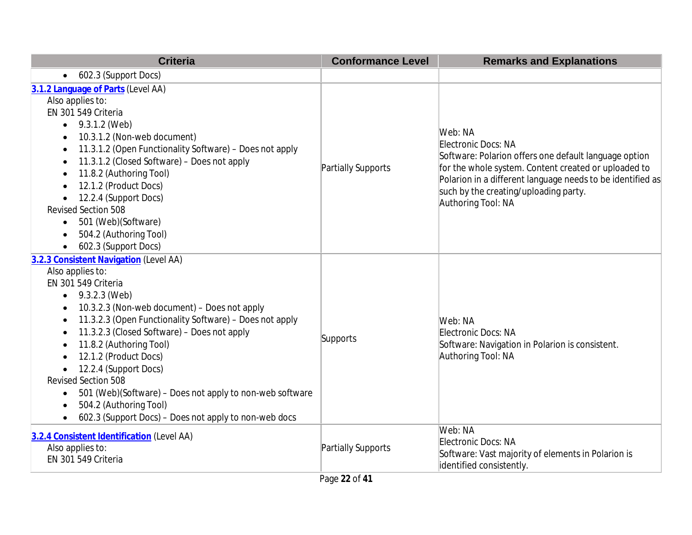| <b>Criteria</b>                                                                                                                                                                                                                                                                                                                                                                                                                                                                                                                                                                         | <b>Conformance Level</b> | <b>Remarks and Explanations</b>                                                                                                                                                                                                                                              |
|-----------------------------------------------------------------------------------------------------------------------------------------------------------------------------------------------------------------------------------------------------------------------------------------------------------------------------------------------------------------------------------------------------------------------------------------------------------------------------------------------------------------------------------------------------------------------------------------|--------------------------|------------------------------------------------------------------------------------------------------------------------------------------------------------------------------------------------------------------------------------------------------------------------------|
| 602.3 (Support Docs)<br>$\bullet$                                                                                                                                                                                                                                                                                                                                                                                                                                                                                                                                                       |                          |                                                                                                                                                                                                                                                                              |
| 3.1.2 Language of Parts (Level AA)<br>Also applies to:<br>EN 301 549 Criteria<br>$\bullet$ 9.3.1.2 (Web)<br>10.3.1.2 (Non-web document)<br>11.3.1.2 (Open Functionality Software) - Does not apply<br>$\bullet$<br>11.3.1.2 (Closed Software) - Does not apply<br>$\bullet$<br>11.8.2 (Authoring Tool)<br>$\bullet$<br>12.1.2 (Product Docs)<br>$\bullet$<br>12.2.4 (Support Docs)<br>Revised Section 508<br>501 (Web)(Software)<br>$\bullet$<br>504.2 (Authoring Tool)<br>602.3 (Support Docs)<br>$\bullet$                                                                            | Partially Supports       | Web: NA<br>Electronic Docs: NA<br>Software: Polarion offers one default language option<br>for the whole system. Content created or uploaded to<br>Polarion in a different language needs to be identified as<br>such by the creating/uploading party.<br>Authoring Tool: NA |
| 3.2.3 Consistent Navigation (Level AA)<br>Also applies to:<br>EN 301 549 Criteria<br>9.3.2.3 (Web)<br>10.3.2.3 (Non-web document) – Does not apply<br>$\bullet$<br>11.3.2.3 (Open Functionality Software) - Does not apply<br>$\bullet$<br>11.3.2.3 (Closed Software) - Does not apply<br>11.8.2 (Authoring Tool)<br>12.1.2 (Product Docs)<br>12.2.4 (Support Docs)<br><b>Revised Section 508</b><br>501 (Web)(Software) - Does not apply to non-web software<br>$\bullet$<br>504.2 (Authoring Tool)<br>$\bullet$<br>602.3 (Support Docs) - Does not apply to non-web docs<br>$\bullet$ | Supports                 | Web: NA<br>Electronic Docs: NA<br>Software: Navigation in Polarion is consistent.<br>Authoring Tool: NA                                                                                                                                                                      |
| 3.2.4 Consistent Identification (Level AA)<br>Also applies to:<br>EN 301 549 Criteria                                                                                                                                                                                                                                                                                                                                                                                                                                                                                                   | Partially Supports       | Web: NA<br>Electronic Docs: NA<br>Software: Vast majority of elements in Polarion is<br>identified consistently.                                                                                                                                                             |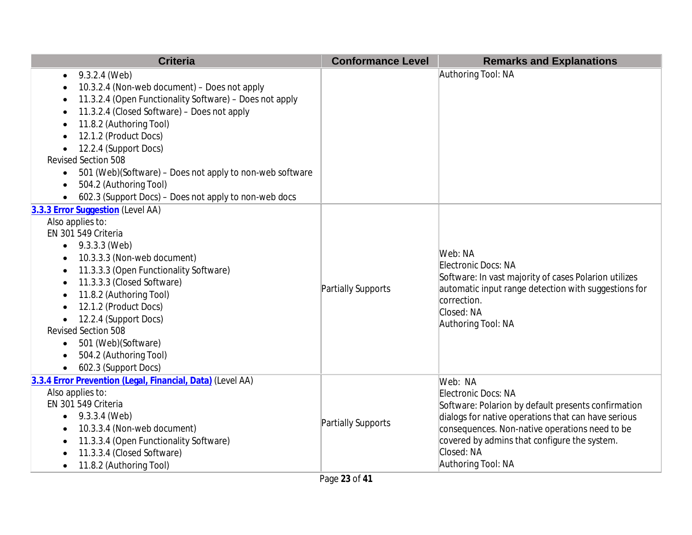| <b>Criteria</b>                                                                                                                                                                                                                                                                                                                                                                                                                                                          | <b>Conformance Level</b> | <b>Remarks and Explanations</b>                                                                                                                                                                                                                                                    |
|--------------------------------------------------------------------------------------------------------------------------------------------------------------------------------------------------------------------------------------------------------------------------------------------------------------------------------------------------------------------------------------------------------------------------------------------------------------------------|--------------------------|------------------------------------------------------------------------------------------------------------------------------------------------------------------------------------------------------------------------------------------------------------------------------------|
| 9.3.2.4 (Web)<br>$\bullet$<br>10.3.2.4 (Non-web document) - Does not apply<br>11.3.2.4 (Open Functionality Software) - Does not apply<br>11.3.2.4 (Closed Software) - Does not apply<br>$\bullet$<br>11.8.2 (Authoring Tool)<br>12.1.2 (Product Docs)<br>12.2.4 (Support Docs)<br><b>Revised Section 508</b><br>501 (Web)(Software) - Does not apply to non-web software<br>$\bullet$<br>504.2 (Authoring Tool)<br>602.3 (Support Docs) - Does not apply to non-web docs |                          | Authoring Tool: NA                                                                                                                                                                                                                                                                 |
| 3.3.3 Error Suggestion (Level AA)<br>Also applies to:<br>EN 301 549 Criteria<br>9.3.3.3 (Web)<br>10.3.3.3 (Non-web document)<br>11.3.3.3 (Open Functionality Software)<br>11.3.3.3 (Closed Software)<br>11.8.2 (Authoring Tool)<br>12.1.2 (Product Docs)<br>12.2.4 (Support Docs)<br>$\bullet$<br><b>Revised Section 508</b><br>501 (Web)(Software)<br>$\bullet$<br>504.2 (Authoring Tool)<br>602.3 (Support Docs)                                                       | Partially Supports       | Web: NA<br>Electronic Docs: NA<br>Software: In vast majority of cases Polarion utilizes<br>automatic input range detection with suggestions for<br>correction.<br>Closed: NA<br>Authoring Tool: NA                                                                                 |
| 3.3.4 Error Prevention (Legal, Financial, Data) (Level AA)<br>Also applies to:<br>EN 301 549 Criteria<br>9.3.3.4 (Web)<br>$\bullet$<br>10.3.3.4 (Non-web document)<br>11.3.3.4 (Open Functionality Software)<br>11.3.3.4 (Closed Software)<br>11.8.2 (Authoring Tool)                                                                                                                                                                                                    | Partially Supports       | Web: NA<br>Electronic Docs: NA<br>Software: Polarion by default presents confirmation<br>dialogs for native operations that can have serious<br>consequences. Non-native operations need to be<br>covered by admins that configure the system.<br>Closed: NA<br>Authoring Tool: NA |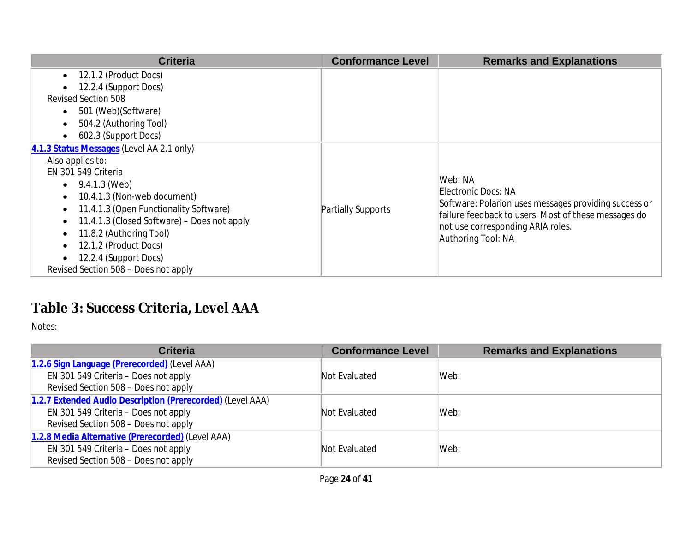| <b>Criteria</b>                                                                                                                                                                                                                                                                                                                                                                                     | <b>Conformance Level</b> | <b>Remarks and Explanations</b>                                                                                                                                                                            |
|-----------------------------------------------------------------------------------------------------------------------------------------------------------------------------------------------------------------------------------------------------------------------------------------------------------------------------------------------------------------------------------------------------|--------------------------|------------------------------------------------------------------------------------------------------------------------------------------------------------------------------------------------------------|
| $\bullet$ 12.1.2 (Product Docs)<br>12.2.4 (Support Docs)<br><b>Revised Section 508</b><br>501 (Web) (Software)<br>$\bullet$<br>504.2 (Authoring Tool)<br>$\bullet$<br>602.3 (Support Docs)<br>$\bullet$                                                                                                                                                                                             |                          |                                                                                                                                                                                                            |
| 4.1.3 Status Messages (Level AA 2.1 only)<br>Also applies to:<br>EN 301 549 Criteria<br>$\bullet$ 9.4.1.3 (Web)<br>10.4.1.3 (Non-web document)<br>$\bullet$<br>11.4.1.3 (Open Functionality Software)<br>$\bullet$<br>11.4.1.3 (Closed Software) – Does not apply<br>11.8.2 (Authoring Tool)<br>$\bullet$<br>12.1.2 (Product Docs)<br>12.2.4 (Support Docs)<br>Revised Section 508 - Does not apply | Partially Supports       | Web: NA<br>Electronic Docs: NA<br>Software: Polarion uses messages providing success or<br>failure feedback to users. Most of these messages do<br>not use corresponding ARIA roles.<br>Authoring Tool: NA |

# **Table 3: Success Criteria, Level AAA**

| <b>Criteria</b>                                            | <b>Conformance Level</b> | <b>Remarks and Explanations</b> |
|------------------------------------------------------------|--------------------------|---------------------------------|
| 1.2.6 Sign Language (Prerecorded) (Level AAA)              |                          |                                 |
| EN 301 549 Criteria - Does not apply                       | Not Evaluated            | Web:                            |
| Revised Section 508 - Does not apply                       |                          |                                 |
| 1.2.7 Extended Audio Description (Prerecorded) (Level AAA) |                          |                                 |
| EN 301 549 Criteria - Does not apply                       | Not Evaluated            | Web:                            |
| Revised Section 508 - Does not apply                       |                          |                                 |
| 1.2.8 Media Alternative (Prerecorded) (Level AAA)          |                          |                                 |
| EN 301 549 Criteria - Does not apply                       | Not Evaluated            | Web:                            |
| Revised Section 508 - Does not apply                       |                          |                                 |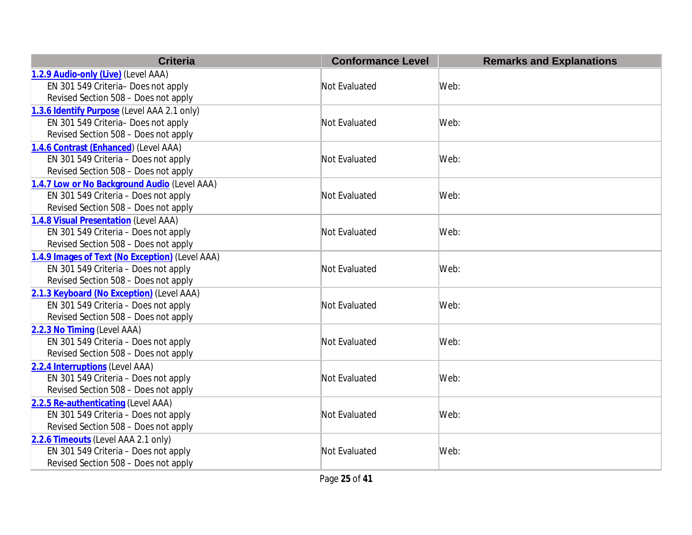| <b>Criteria</b>                                 | <b>Conformance Level</b> | <b>Remarks and Explanations</b> |
|-------------------------------------------------|--------------------------|---------------------------------|
| 1.2.9 Audio-only (Live) (Level AAA)             |                          |                                 |
| EN 301 549 Criteria- Does not apply             | Not Evaluated            | Web:                            |
| Revised Section 508 - Does not apply            |                          |                                 |
| 1.3.6 Identify Purpose (Level AAA 2.1 only)     |                          |                                 |
| EN 301 549 Criteria- Does not apply             | Not Evaluated            | Web:                            |
| Revised Section 508 - Does not apply            |                          |                                 |
| 1.4.6 Contrast (Enhanced) (Level AAA)           |                          |                                 |
| EN 301 549 Criteria - Does not apply            | Not Evaluated            | Web:                            |
| Revised Section 508 - Does not apply            |                          |                                 |
| 1.4.7 Low or No Background Audio (Level AAA)    |                          |                                 |
| EN 301 549 Criteria - Does not apply            | Not Evaluated            | Web:                            |
| Revised Section 508 - Does not apply            |                          |                                 |
| 1.4.8 Visual Presentation (Level AAA)           |                          |                                 |
| EN 301 549 Criteria - Does not apply            | Not Evaluated            | Web:                            |
| Revised Section 508 - Does not apply            |                          |                                 |
| 1.4.9 Images of Text (No Exception) (Level AAA) |                          |                                 |
| EN 301 549 Criteria - Does not apply            | Not Evaluated            | Web:                            |
| Revised Section 508 - Does not apply            |                          |                                 |
| 2.1.3 Keyboard (No Exception) (Level AAA)       |                          |                                 |
| EN 301 549 Criteria - Does not apply            | Not Evaluated            | Web:                            |
| Revised Section 508 - Does not apply            |                          |                                 |
| 2.2.3 No Timing (Level AAA)                     |                          |                                 |
| EN 301 549 Criteria - Does not apply            | Not Evaluated            | Web:                            |
| Revised Section 508 - Does not apply            |                          |                                 |
| 2.2.4 Interruptions (Level AAA)                 |                          |                                 |
| EN 301 549 Criteria - Does not apply            | Not Evaluated            | Web:                            |
| Revised Section 508 - Does not apply            |                          |                                 |
| 2.2.5 Re-authenticating (Level AAA)             |                          |                                 |
| EN 301 549 Criteria - Does not apply            | Not Evaluated            | Web:                            |
| Revised Section 508 - Does not apply            |                          |                                 |
| 2.2.6 Timeouts (Level AAA 2.1 only)             |                          |                                 |
| EN 301 549 Criteria - Does not apply            | Not Evaluated            | Web:                            |
| Revised Section 508 - Does not apply            |                          |                                 |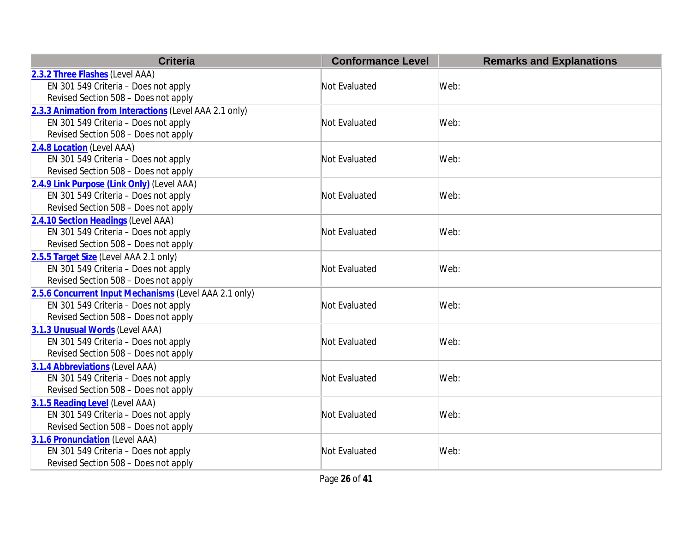| <b>Criteria</b>                                        | <b>Conformance Level</b> | <b>Remarks and Explanations</b> |
|--------------------------------------------------------|--------------------------|---------------------------------|
| 2.3.2 Three Flashes (Level AAA)                        |                          |                                 |
| EN 301 549 Criteria - Does not apply                   | Not Evaluated            | Web:                            |
| Revised Section 508 - Does not apply                   |                          |                                 |
| 2.3.3 Animation from Interactions (Level AAA 2.1 only) |                          |                                 |
| EN 301 549 Criteria - Does not apply                   | Not Evaluated            | Web:                            |
| Revised Section 508 - Does not apply                   |                          |                                 |
| 2.4.8 Location (Level AAA)                             |                          |                                 |
| EN 301 549 Criteria - Does not apply                   | Not Evaluated            | Web:                            |
| Revised Section 508 - Does not apply                   |                          |                                 |
| 2.4.9 Link Purpose (Link Only) (Level AAA)             |                          |                                 |
| EN 301 549 Criteria - Does not apply                   | Not Evaluated            | Web:                            |
| Revised Section 508 - Does not apply                   |                          |                                 |
| 2.4.10 Section Headings (Level AAA)                    |                          |                                 |
| EN 301 549 Criteria - Does not apply                   | Not Evaluated            | Web:                            |
| Revised Section 508 - Does not apply                   |                          |                                 |
| 2.5.5 Target Size (Level AAA 2.1 only)                 |                          |                                 |
| EN 301 549 Criteria - Does not apply                   | Not Evaluated            | Web:                            |
| Revised Section 508 - Does not apply                   |                          |                                 |
| 2.5.6 Concurrent Input Mechanisms (Level AAA 2.1 only) |                          |                                 |
| EN 301 549 Criteria - Does not apply                   | Not Evaluated            | Web:                            |
| Revised Section 508 - Does not apply                   |                          |                                 |
| 3.1.3 Unusual Words (Level AAA)                        |                          |                                 |
| EN 301 549 Criteria - Does not apply                   | Not Evaluated            | Web:                            |
| Revised Section 508 - Does not apply                   |                          |                                 |
| 3.1.4 Abbreviations (Level AAA)                        |                          |                                 |
| EN 301 549 Criteria - Does not apply                   | Not Evaluated            | Web:                            |
| Revised Section 508 - Does not apply                   |                          |                                 |
| 3.1.5 Reading Level (Level AAA)                        |                          |                                 |
| EN 301 549 Criteria - Does not apply                   | Not Evaluated            | Web:                            |
| Revised Section 508 - Does not apply                   |                          |                                 |
| 3.1.6 Pronunciation (Level AAA)                        |                          |                                 |
| EN 301 549 Criteria - Does not apply                   | Not Evaluated            | Web:                            |
| Revised Section 508 - Does not apply                   |                          |                                 |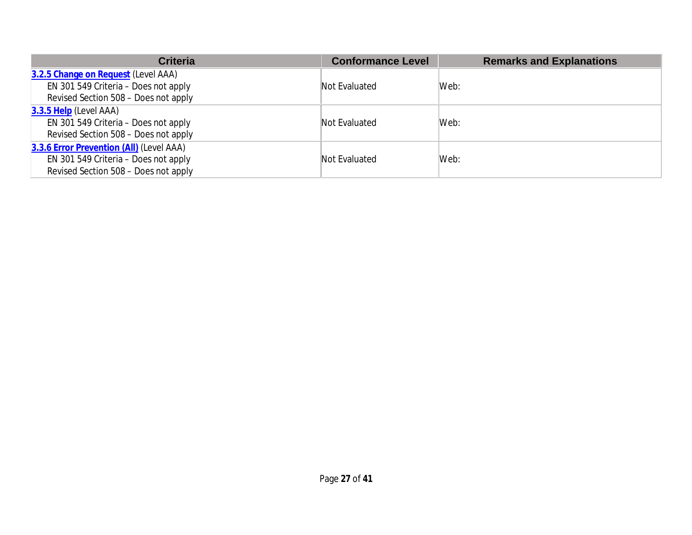| <b>Criteria</b>                          | <b>Conformance Level</b> | <b>Remarks and Explanations</b> |
|------------------------------------------|--------------------------|---------------------------------|
| 3.2.5 Change on Request (Level AAA)      |                          |                                 |
| EN 301 549 Criteria – Does not apply     | Not Evaluated            | Web:                            |
| Revised Section 508 - Does not apply     |                          |                                 |
| $3.3.5$ Help (Level AAA)                 |                          |                                 |
| EN 301 549 Criteria – Does not apply     | Not Evaluated            | Web:                            |
| Revised Section 508 - Does not apply     |                          |                                 |
| 3.3.6 Error Prevention (All) (Level AAA) |                          |                                 |
| EN 301 549 Criteria – Does not apply     | Not Evaluated            | Web:                            |
| Revised Section 508 - Does not apply     |                          |                                 |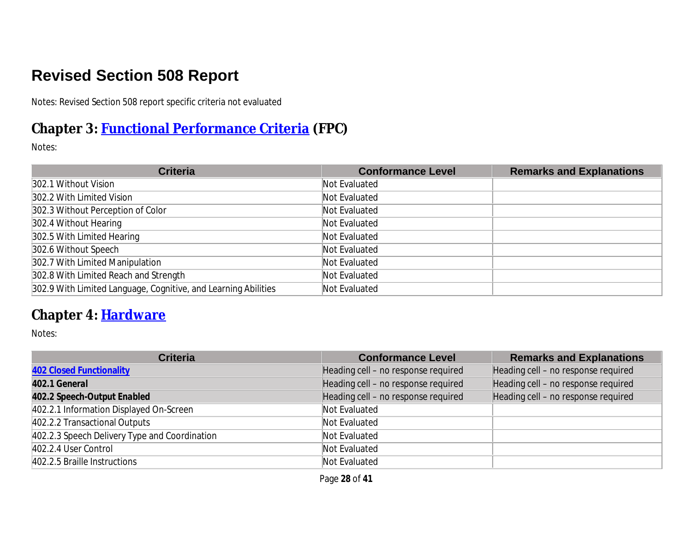# **Revised Section 508 Report**

Notes: Revised Section 508 report specific criteria not evaluated

# **Chapter 3: [Functional Performance Criteria](https://www.access-board.gov/guidelines-and-standards/communications-and-it/about-the-ict-refresh/final-rule/text-of-the-standards-and-guidelines#302-functional-performance-criteria) (FPC)**

Notes:

| <b>Criteria</b>                                                | <b>Conformance Level</b> | <b>Remarks and Explanations</b> |
|----------------------------------------------------------------|--------------------------|---------------------------------|
| 302.1 Without Vision                                           | Not Evaluated            |                                 |
| 302.2 With Limited Vision                                      | Not Evaluated            |                                 |
| 302.3 Without Perception of Color                              | Not Evaluated            |                                 |
| 302.4 Without Hearing                                          | Not Evaluated            |                                 |
| 302.5 With Limited Hearing                                     | Not Evaluated            |                                 |
| 302.6 Without Speech                                           | Not Evaluated            |                                 |
| 302.7 With Limited Manipulation                                | Not Evaluated            |                                 |
| 302.8 With Limited Reach and Strength                          | Not Evaluated            |                                 |
| 302.9 With Limited Language, Cognitive, and Learning Abilities | Not Evaluated            |                                 |

#### **Chapter 4: [Hardware](https://www.access-board.gov/guidelines-and-standards/communications-and-it/about-the-ict-refresh/final-rule/text-of-the-standards-and-guidelines#401-general)**

| <b>Criteria</b>                               | <b>Conformance Level</b>            | <b>Remarks and Explanations</b>     |
|-----------------------------------------------|-------------------------------------|-------------------------------------|
| <b>402 Closed Functionality</b>               | Heading cell - no response required | Heading cell - no response required |
| 402.1 General                                 | Heading cell - no response required | Heading cell - no response required |
| 402.2 Speech-Output Enabled                   | Heading cell - no response required | Heading cell - no response required |
| 402.2.1 Information Displayed On-Screen       | Not Evaluated                       |                                     |
| 402.2.2 Transactional Outputs                 | Not Evaluated                       |                                     |
| 402.2.3 Speech Delivery Type and Coordination | Not Evaluated                       |                                     |
| 402.2.4 User Control                          | Not Evaluated                       |                                     |
| 402.2.5 Braille Instructions                  | Not Evaluated                       |                                     |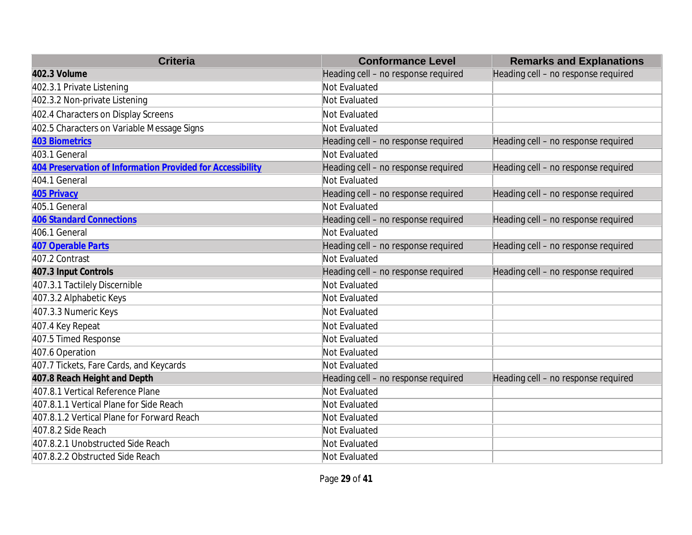| <b>Criteria</b>                                            | <b>Conformance Level</b>            | <b>Remarks and Explanations</b>     |
|------------------------------------------------------------|-------------------------------------|-------------------------------------|
| 402.3 Volume                                               | Heading cell - no response required | Heading cell - no response required |
| 402.3.1 Private Listening                                  | Not Evaluated                       |                                     |
| 402.3.2 Non-private Listening                              | Not Evaluated                       |                                     |
| 402.4 Characters on Display Screens                        | Not Evaluated                       |                                     |
| 402.5 Characters on Variable Message Signs                 | Not Evaluated                       |                                     |
| <b>403 Biometrics</b>                                      | Heading cell - no response required | Heading cell - no response required |
| 403.1 General                                              | Not Evaluated                       |                                     |
| 404 Preservation of Information Provided for Accessibility | Heading cell - no response required | Heading cell - no response required |
| 404.1 General                                              | Not Evaluated                       |                                     |
| 405 Privacy                                                | Heading cell - no response required | Heading cell - no response required |
| 405.1 General                                              | Not Evaluated                       |                                     |
| <b>406 Standard Connections</b>                            | Heading cell - no response required | Heading cell - no response required |
| 406.1 General                                              | Not Evaluated                       |                                     |
| 407 Operable Parts                                         | Heading cell - no response required | Heading cell - no response required |
| 407.2 Contrast                                             | Not Evaluated                       |                                     |
| 407.3 Input Controls                                       | Heading cell - no response required | Heading cell - no response required |
| 407.3.1 Tactilely Discernible                              | Not Evaluated                       |                                     |
| 407.3.2 Alphabetic Keys                                    | Not Evaluated                       |                                     |
| 407.3.3 Numeric Keys                                       | Not Evaluated                       |                                     |
| 407.4 Key Repeat                                           | Not Evaluated                       |                                     |
| 407.5 Timed Response                                       | Not Evaluated                       |                                     |
| 407.6 Operation                                            | Not Evaluated                       |                                     |
| 407.7 Tickets, Fare Cards, and Keycards                    | Not Evaluated                       |                                     |
| 407.8 Reach Height and Depth                               | Heading cell - no response required | Heading cell - no response required |
| 407.8.1 Vertical Reference Plane                           | Not Evaluated                       |                                     |
| 407.8.1.1 Vertical Plane for Side Reach                    | Not Evaluated                       |                                     |
| 407.8.1.2 Vertical Plane for Forward Reach                 | Not Evaluated                       |                                     |
| 407.8.2 Side Reach                                         | Not Evaluated                       |                                     |
| 407.8.2.1 Unobstructed Side Reach                          | Not Evaluated                       |                                     |
| 407.8.2.2 Obstructed Side Reach                            | Not Evaluated                       |                                     |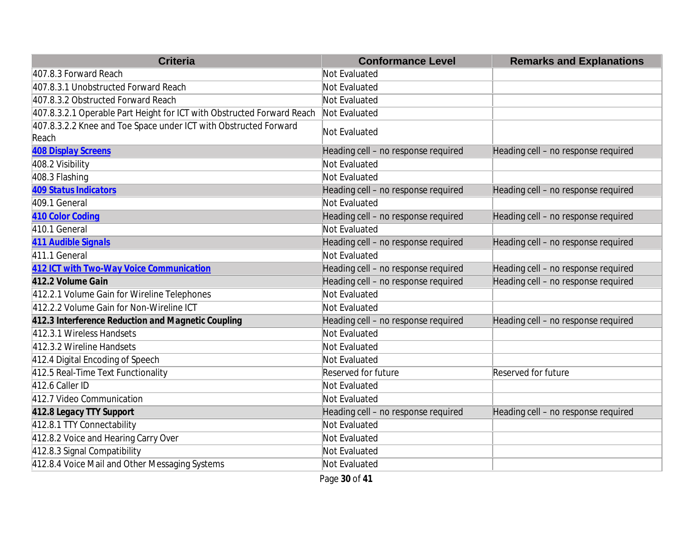| <b>Criteria</b>                                                           | <b>Conformance Level</b>            | <b>Remarks and Explanations</b>     |
|---------------------------------------------------------------------------|-------------------------------------|-------------------------------------|
| 407.8.3 Forward Reach                                                     | Not Evaluated                       |                                     |
| 407.8.3.1 Unobstructed Forward Reach                                      | Not Evaluated                       |                                     |
| 407.8.3.2 Obstructed Forward Reach                                        | Not Evaluated                       |                                     |
| 407.8.3.2.1 Operable Part Height for ICT with Obstructed Forward Reach    | Not Evaluated                       |                                     |
| 407.8.3.2.2 Knee and Toe Space under ICT with Obstructed Forward<br>Reach | Not Evaluated                       |                                     |
| <b>408 Display Screens</b>                                                | Heading cell - no response required | Heading cell - no response required |
| 408.2 Visibility                                                          | Not Evaluated                       |                                     |
| 408.3 Flashing                                                            | Not Evaluated                       |                                     |
| <b>409 Status Indicators</b>                                              | Heading cell - no response required | Heading cell - no response required |
| 409.1 General                                                             | Not Evaluated                       |                                     |
| 410 Color Coding                                                          | Heading cell - no response required | Heading cell - no response required |
| 410.1 General                                                             | Not Evaluated                       |                                     |
| 411 Audible Signals                                                       | Heading cell - no response required | Heading cell - no response required |
| 411.1 General                                                             | Not Evaluated                       |                                     |
| 412 ICT with Two-Way Voice Communication                                  | Heading cell - no response required | Heading cell - no response required |
| 412.2 Volume Gain                                                         | Heading cell - no response required | Heading cell - no response required |
| 412.2.1 Volume Gain for Wireline Telephones                               | Not Evaluated                       |                                     |
| 412.2.2 Volume Gain for Non-Wireline ICT                                  | Not Evaluated                       |                                     |
| 412.3 Interference Reduction and Magnetic Coupling                        | Heading cell - no response required | Heading cell - no response required |
| 412.3.1 Wireless Handsets                                                 | Not Evaluated                       |                                     |
| 412.3.2 Wireline Handsets                                                 | Not Evaluated                       |                                     |
| 412.4 Digital Encoding of Speech                                          | Not Evaluated                       |                                     |
| 412.5 Real-Time Text Functionality                                        | <b>Reserved for future</b>          | Reserved for future                 |
| 412.6 Caller ID                                                           | Not Evaluated                       |                                     |
| 412.7 Video Communication                                                 | Not Evaluated                       |                                     |
| 412.8 Legacy TTY Support                                                  | Heading cell - no response required | Heading cell - no response required |
| 412.8.1 TTY Connectability                                                | Not Evaluated                       |                                     |
| 412.8.2 Voice and Hearing Carry Over                                      | Not Evaluated                       |                                     |
| 412.8.3 Signal Compatibility                                              | Not Evaluated                       |                                     |
| 412.8.4 Voice Mail and Other Messaging Systems                            | Not Evaluated                       |                                     |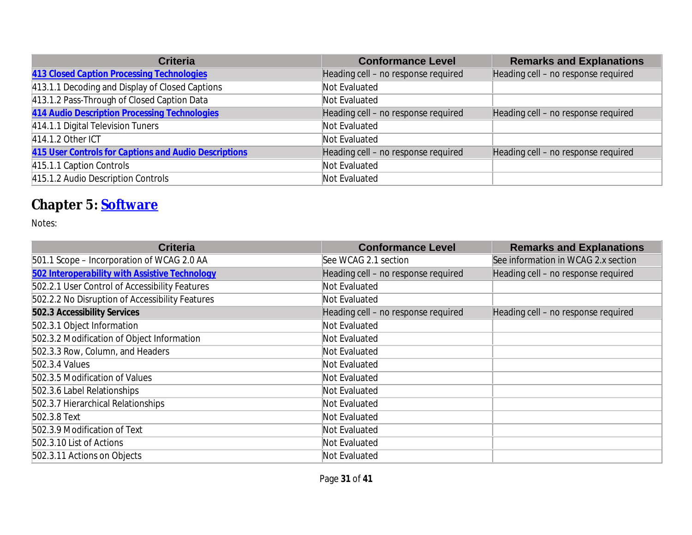| <b>Criteria</b>                                       | <b>Conformance Level</b>            | <b>Remarks and Explanations</b>     |
|-------------------------------------------------------|-------------------------------------|-------------------------------------|
| 413 Closed Caption Processing Technologies            | Heading cell - no response required | Heading cell - no response required |
| 413.1.1 Decoding and Display of Closed Captions       | Not Evaluated                       |                                     |
| 413.1.2 Pass-Through of Closed Caption Data           | Not Evaluated                       |                                     |
| 414 Audio Description Processing Technologies         | Heading cell - no response required | Heading cell - no response required |
| 414.1.1 Digital Television Tuners                     | Not Evaluated                       |                                     |
| 414.1.2 Other ICT                                     | Not Evaluated                       |                                     |
| 415 User Controls for Captions and Audio Descriptions | Heading cell - no response required | Heading cell - no response required |
| 415.1.1 Caption Controls                              | Not Evaluated                       |                                     |
| 415.1.2 Audio Description Controls                    | Not Evaluated                       |                                     |

# **Chapter 5: [Software](https://www.access-board.gov/guidelines-and-standards/communications-and-it/about-the-ict-refresh/final-rule/text-of-the-standards-and-guidelines#501-general)**

| <b>Criteria</b>                                 | <b>Conformance Level</b>            | <b>Remarks and Explanations</b>     |
|-------------------------------------------------|-------------------------------------|-------------------------------------|
| 501.1 Scope - Incorporation of WCAG 2.0 AA      | See WCAG 2.1 section                | See information in WCAG 2.x section |
| 502 Interoperability with Assistive Technology  | Heading cell - no response required | Heading cell - no response required |
| 502.2.1 User Control of Accessibility Features  | Not Evaluated                       |                                     |
| 502.2.2 No Disruption of Accessibility Features | Not Evaluated                       |                                     |
| 502.3 Accessibility Services                    | Heading cell - no response required | Heading cell - no response required |
| 502.3.1 Object Information                      | Not Evaluated                       |                                     |
| 502.3.2 Modification of Object Information      | Not Evaluated                       |                                     |
| 502.3.3 Row, Column, and Headers                | Not Evaluated                       |                                     |
| 502.3.4 Values                                  | Not Evaluated                       |                                     |
| 502.3.5 Modification of Values                  | Not Evaluated                       |                                     |
| 502.3.6 Label Relationships                     | Not Evaluated                       |                                     |
| 502.3.7 Hierarchical Relationships              | Not Evaluated                       |                                     |
| 502.3.8 Text                                    | Not Evaluated                       |                                     |
| 502.3.9 Modification of Text                    | Not Evaluated                       |                                     |
| 502.3.10 List of Actions                        | Not Evaluated                       |                                     |
| 502.3.11 Actions on Objects                     | Not Evaluated                       |                                     |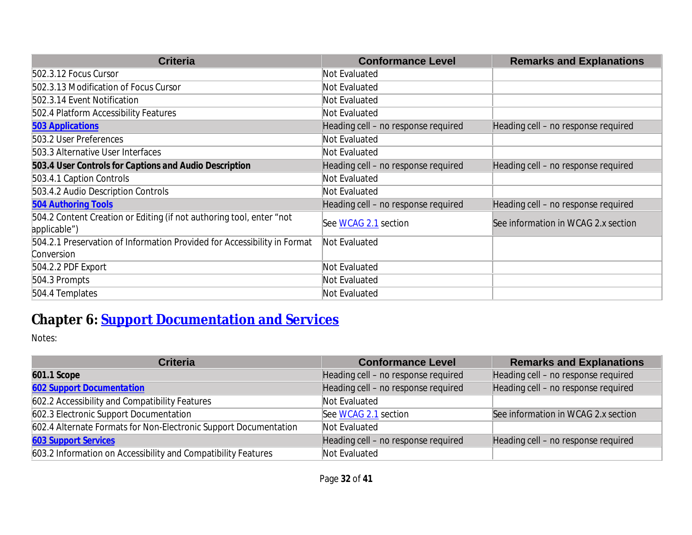| <b>Criteria</b>                                                          | <b>Conformance Level</b>            | <b>Remarks and Explanations</b>     |
|--------------------------------------------------------------------------|-------------------------------------|-------------------------------------|
| 502.3.12 Focus Cursor                                                    | Not Evaluated                       |                                     |
| 502.3.13 Modification of Focus Cursor                                    | Not Evaluated                       |                                     |
| 502.3.14 Event Notification                                              | Not Evaluated                       |                                     |
| 502.4 Platform Accessibility Features                                    | Not Evaluated                       |                                     |
| <b>503 Applications</b>                                                  | Heading cell - no response required | Heading cell - no response required |
| 503.2 User Preferences                                                   | Not Evaluated                       |                                     |
| 503.3 Alternative User Interfaces                                        | Not Evaluated                       |                                     |
| 503.4 User Controls for Captions and Audio Description                   | Heading cell - no response required | Heading cell - no response required |
| 503.4.1 Caption Controls                                                 | Not Evaluated                       |                                     |
| 503.4.2 Audio Description Controls                                       | Not Evaluated                       |                                     |
| <b>504 Authoring Tools</b>                                               | Heading cell - no response required | Heading cell - no response required |
| 504.2 Content Creation or Editing (if not authoring tool, enter "not     | See WCAG 2.1 section                | See information in WCAG 2.x section |
| applicable")                                                             |                                     |                                     |
| 504.2.1 Preservation of Information Provided for Accessibility in Format | Not Evaluated                       |                                     |
| Conversion                                                               |                                     |                                     |
| 504.2.2 PDF Export                                                       | Not Evaluated                       |                                     |
| 504.3 Prompts                                                            | Not Evaluated                       |                                     |
| 504.4 Templates                                                          | Not Evaluated                       |                                     |

# **Chapter 6: [Support Documentation and Services](https://www.access-board.gov/guidelines-and-standards/communications-and-it/about-the-ict-refresh/final-rule/text-of-the-standards-and-guidelines#601-general)**

| <b>Criteria</b>                                                  | <b>Conformance Level</b>            | <b>Remarks and Explanations</b>     |
|------------------------------------------------------------------|-------------------------------------|-------------------------------------|
| 601.1 Scope                                                      | Heading cell - no response required | Heading cell - no response required |
| <b>602 Support Documentation</b>                                 | Heading cell - no response required | Heading cell - no response required |
| 602.2 Accessibility and Compatibility Features                   | Not Evaluated                       |                                     |
| 602.3 Electronic Support Documentation                           | See WCAG 2.1 section                | See information in WCAG 2.x section |
| 602.4 Alternate Formats for Non-Electronic Support Documentation | Not Evaluated                       |                                     |
| <b>603 Support Services</b>                                      | Heading cell - no response required | Heading cell - no response required |
| 603.2 Information on Accessibility and Compatibility Features    | Not Evaluated                       |                                     |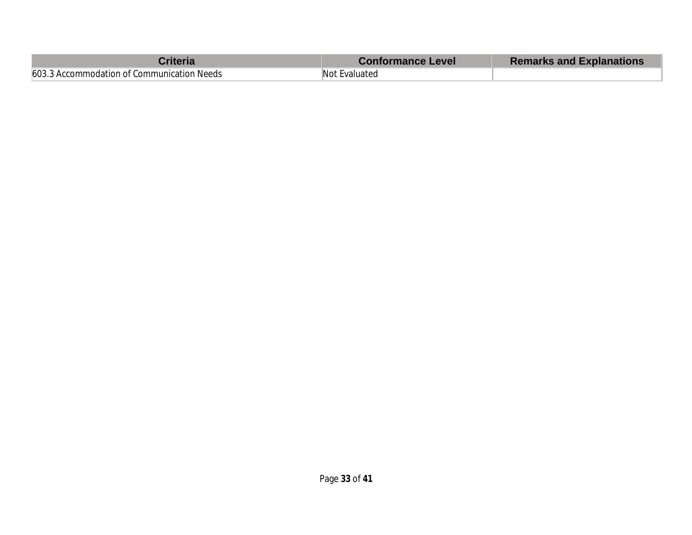| :riteria                                   | <b>Conformance Level</b> | <b>Remarks and Explanations</b> |
|--------------------------------------------|--------------------------|---------------------------------|
| 603.3 Accommodation of Communication Needs | Not Evaluated            |                                 |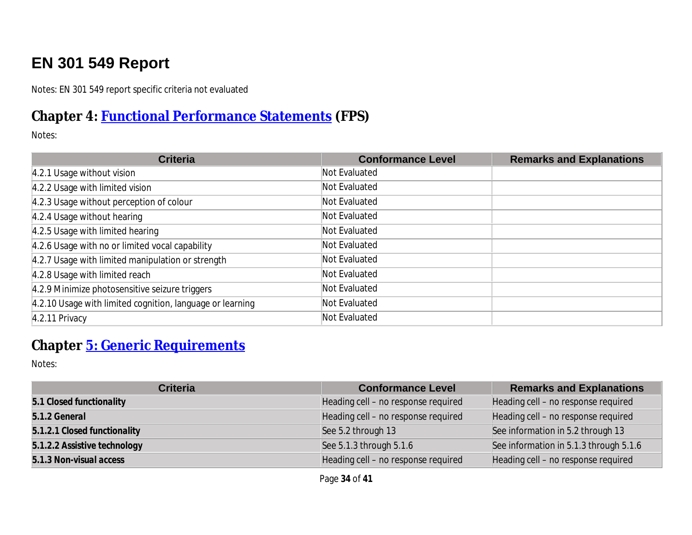# **EN 301 549 Report**

Notes: EN 301 549 report specific criteria not evaluated

#### **Chapter 4: [Functional Performance Statements](https://www.etsi.org/deliver/etsi_en/301500_301599/301549/03.01.01_60/en_301549v030101p.pdf#%5B%7B%22num%22%3A38%2C%22gen%22%3A0%7D%2C%7B%22name%22%3A%22XYZ%22%7D%2C54%2C747%2C0%5D) (FPS)**

Notes:

| <b>Criteria</b>                                           | <b>Conformance Level</b> | <b>Remarks and Explanations</b> |
|-----------------------------------------------------------|--------------------------|---------------------------------|
| 4.2.1 Usage without vision                                | Not Evaluated            |                                 |
| 4.2.2 Usage with limited vision                           | Not Evaluated            |                                 |
| 4.2.3 Usage without perception of colour                  | Not Evaluated            |                                 |
| 4.2.4 Usage without hearing                               | Not Evaluated            |                                 |
| 4.2.5 Usage with limited hearing                          | Not Evaluated            |                                 |
| 4.2.6 Usage with no or limited vocal capability           | Not Evaluated            |                                 |
| 4.2.7 Usage with limited manipulation or strength         | Not Evaluated            |                                 |
| 4.2.8 Usage with limited reach                            | Not Evaluated            |                                 |
| 4.2.9 Minimize photosensitive seizure triggers            | Not Evaluated            |                                 |
| 4.2.10 Usage with limited cognition, language or learning | Not Evaluated            |                                 |
| 4.2.11 Privacy                                            | Not Evaluated            |                                 |

# **Chapter [5: Generic Requirements](https://www.etsi.org/deliver/etsi_en/301500_301599/301549/03.01.01_60/en_301549v030101p.pdf#%5B%7B%22num%22%3A45%2C%22gen%22%3A0%7D%2C%7B%22name%22%3A%22XYZ%22%7D%2C54%2C747%2C0%5D)**

| <b>Criteria</b>              | <b>Conformance Level</b>            | <b>Remarks and Explanations</b>        |
|------------------------------|-------------------------------------|----------------------------------------|
| 5.1 Closed functionality     | Heading cell - no response required | Heading cell - no response required    |
| 5.1.2 General                | Heading cell - no response required | Heading cell - no response required    |
| 5.1.2.1 Closed functionality | See 5.2 through 13                  | See information in 5.2 through 13      |
| 5.1.2.2 Assistive technology | See 5.1.3 through 5.1.6             | See information in 5.1.3 through 5.1.6 |
| 5.1.3 Non-visual access      | Heading cell - no response required | Heading cell - no response required    |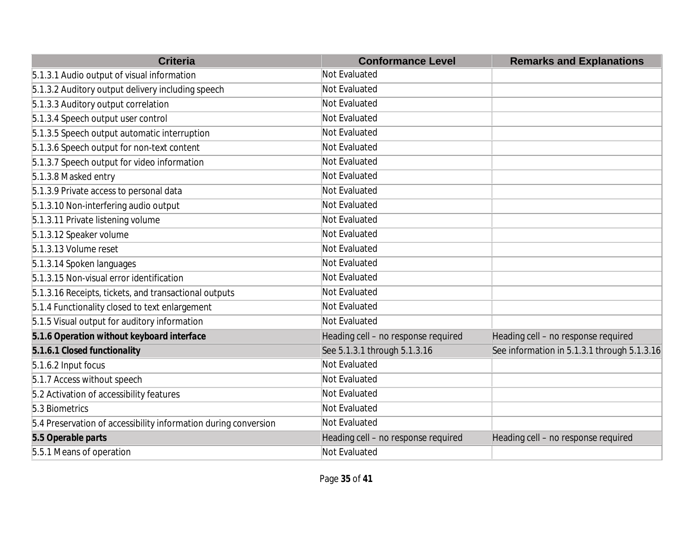| <b>Criteria</b>                                                 | <b>Conformance Level</b>            | <b>Remarks and Explanations</b>             |
|-----------------------------------------------------------------|-------------------------------------|---------------------------------------------|
| 5.1.3.1 Audio output of visual information                      | Not Evaluated                       |                                             |
| 5.1.3.2 Auditory output delivery including speech               | Not Evaluated                       |                                             |
| 5.1.3.3 Auditory output correlation                             | Not Evaluated                       |                                             |
| 5.1.3.4 Speech output user control                              | Not Evaluated                       |                                             |
| 5.1.3.5 Speech output automatic interruption                    | Not Evaluated                       |                                             |
| 5.1.3.6 Speech output for non-text content                      | Not Evaluated                       |                                             |
| 5.1.3.7 Speech output for video information                     | Not Evaluated                       |                                             |
| 5.1.3.8 Masked entry                                            | Not Evaluated                       |                                             |
| 5.1.3.9 Private access to personal data                         | Not Evaluated                       |                                             |
| 5.1.3.10 Non-interfering audio output                           | Not Evaluated                       |                                             |
| 5.1.3.11 Private listening volume                               | Not Evaluated                       |                                             |
| 5.1.3.12 Speaker volume                                         | Not Evaluated                       |                                             |
| 5.1.3.13 Volume reset                                           | Not Evaluated                       |                                             |
| 5.1.3.14 Spoken languages                                       | Not Evaluated                       |                                             |
| 5.1.3.15 Non-visual error identification                        | Not Evaluated                       |                                             |
| 5.1.3.16 Receipts, tickets, and transactional outputs           | Not Evaluated                       |                                             |
| 5.1.4 Functionality closed to text enlargement                  | Not Evaluated                       |                                             |
| 5.1.5 Visual output for auditory information                    | Not Evaluated                       |                                             |
| 5.1.6 Operation without keyboard interface                      | Heading cell - no response required | Heading cell - no response required         |
| 5.1.6.1 Closed functionality                                    | See 5.1.3.1 through 5.1.3.16        | See information in 5.1.3.1 through 5.1.3.16 |
| 5.1.6.2 Input focus                                             | Not Evaluated                       |                                             |
| 5.1.7 Access without speech                                     | Not Evaluated                       |                                             |
| 5.2 Activation of accessibility features                        | Not Evaluated                       |                                             |
| 5.3 Biometrics                                                  | Not Evaluated                       |                                             |
| 5.4 Preservation of accessibility information during conversion | Not Evaluated                       |                                             |
| 5.5 Operable parts                                              | Heading cell - no response required | Heading cell - no response required         |
| 5.5.1 Means of operation                                        | Not Evaluated                       |                                             |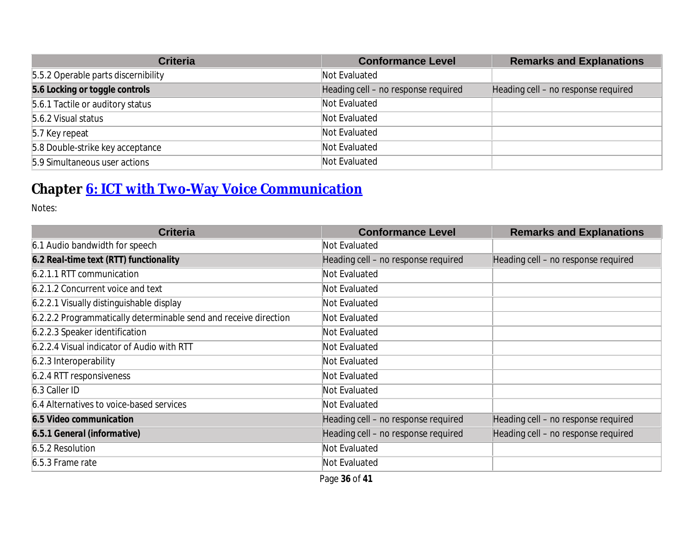| <b>Criteria</b>                     | <b>Conformance Level</b>            | <b>Remarks and Explanations</b>     |
|-------------------------------------|-------------------------------------|-------------------------------------|
| 5.5.2 Operable parts discernibility | Not Evaluated                       |                                     |
| 5.6 Locking or toggle controls      | Heading cell - no response required | Heading cell - no response required |
| 5.6.1 Tactile or auditory status    | Not Evaluated                       |                                     |
| 5.6.2 Visual status                 | Not Evaluated                       |                                     |
| 5.7 Key repeat                      | Not Evaluated                       |                                     |
| 5.8 Double-strike key acceptance    | Not Evaluated                       |                                     |
| 5.9 Simultaneous user actions       | Not Evaluated                       |                                     |

# **Chapter [6: ICT with Two-Way Voice Communication](https://www.etsi.org/deliver/etsi_en/301500_301599/301549/03.01.01_60/en_301549v030101p.pdf#%5B%7B%22num%22%3A60%2C%22gen%22%3A0%7D%2C%7B%22name%22%3A%22XYZ%22%7D%2C54%2C747%2C0%5D)**

| <b>Criteria</b>                                                  | <b>Conformance Level</b>            | <b>Remarks and Explanations</b>     |
|------------------------------------------------------------------|-------------------------------------|-------------------------------------|
| 6.1 Audio bandwidth for speech                                   | Not Evaluated                       |                                     |
| 6.2 Real-time text (RTT) functionality                           | Heading cell - no response required | Heading cell - no response required |
| 6.2.1.1 RTT communication                                        | Not Evaluated                       |                                     |
| 6.2.1.2 Concurrent voice and text                                | Not Evaluated                       |                                     |
| 6.2.2.1 Visually distinguishable display                         | Not Evaluated                       |                                     |
| 6.2.2.2 Programmatically determinable send and receive direction | Not Evaluated                       |                                     |
| 6.2.2.3 Speaker identification                                   | Not Evaluated                       |                                     |
| 6.2.2.4 Visual indicator of Audio with RTT                       | Not Evaluated                       |                                     |
| 6.2.3 Interoperability                                           | Not Evaluated                       |                                     |
| 6.2.4 RTT responsiveness                                         | Not Evaluated                       |                                     |
| 6.3 Caller ID                                                    | Not Evaluated                       |                                     |
| 6.4 Alternatives to voice-based services                         | Not Evaluated                       |                                     |
| 6.5 Video communication                                          | Heading cell - no response required | Heading cell - no response required |
| 6.5.1 General (informative)                                      | Heading cell - no response required | Heading cell - no response required |
| 6.5.2 Resolution                                                 | Not Evaluated                       |                                     |
| 6.5.3 Frame rate                                                 | Not Evaluated                       |                                     |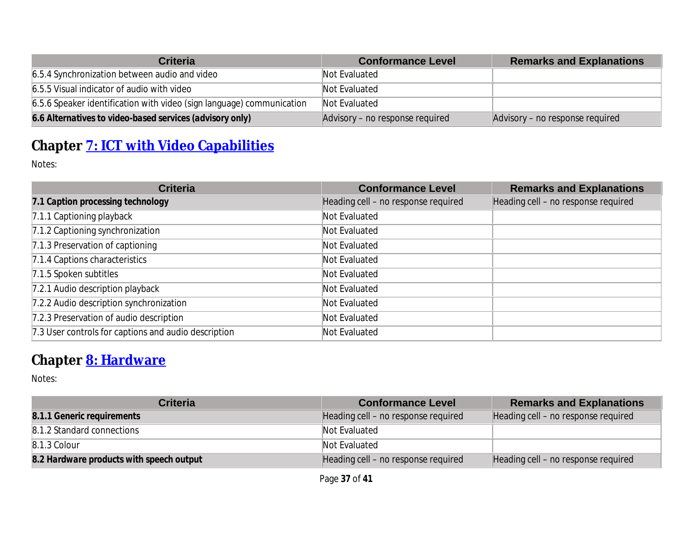| <b>Criteria</b>                                                       | <b>Conformance Level</b>        | <b>Remarks and Explanations</b> |
|-----------------------------------------------------------------------|---------------------------------|---------------------------------|
| 6.5.4 Synchronization between audio and video                         | Not Evaluated                   |                                 |
| 6.5.5 Visual indicator of audio with video                            | Not Evaluated                   |                                 |
| 6.5.6 Speaker identification with video (sign language) communication | Not Evaluated                   |                                 |
| 6.6 Alternatives to video-based services (advisory only)              | Advisory – no response required | Advisory – no response required |

# **Chapter [7: ICT with Video Capabilities](https://www.etsi.org/deliver/etsi_en/301500_301599/301549/03.01.01_60/en_301549v030101p.pdf#%5B%7B%22num%22%3A70%2C%22gen%22%3A0%7D%2C%7B%22name%22%3A%22XYZ%22%7D%2C54%2C747%2C0%5D)**

Notes:

| <b>Criteria</b>                                      | <b>Conformance Level</b>            | <b>Remarks and Explanations</b>     |
|------------------------------------------------------|-------------------------------------|-------------------------------------|
| 7.1 Caption processing technology                    | Heading cell - no response required | Heading cell - no response required |
| 7.1.1 Captioning playback                            | Not Evaluated                       |                                     |
| 7.1.2 Captioning synchronization                     | Not Evaluated                       |                                     |
| 7.1.3 Preservation of captioning                     | Not Evaluated                       |                                     |
| 7.1.4 Captions characteristics                       | Not Evaluated                       |                                     |
| 7.1.5 Spoken subtitles                               | Not Evaluated                       |                                     |
| 7.2.1 Audio description playback                     | Not Evaluated                       |                                     |
| 7.2.2 Audio description synchronization              | Not Evaluated                       |                                     |
| 7.2.3 Preservation of audio description              | Not Evaluated                       |                                     |
| 7.3 User controls for captions and audio description | Not Evaluated                       |                                     |

# **Chapter [8: Hardware](https://www.etsi.org/deliver/etsi_en/301500_301599/301549/03.01.01_60/en_301549v030101p.pdf#%5B%7B%22num%22%3A74%2C%22gen%22%3A0%7D%2C%7B%22name%22%3A%22XYZ%22%7D%2C54%2C747%2C0%5D)**

| <b>Criteria</b>                          | <b>Conformance Level</b>            | <b>Remarks and Explanations</b>     |
|------------------------------------------|-------------------------------------|-------------------------------------|
| 8.1.1 Generic requirements               | Heading cell – no response required | Heading cell – no response required |
| 8.1.2 Standard connections               | Not Evaluated                       |                                     |
| $8.1.3$ Colour                           | Not Evaluated                       |                                     |
| 8.2 Hardware products with speech output | Heading cell – no response required | Heading cell – no response required |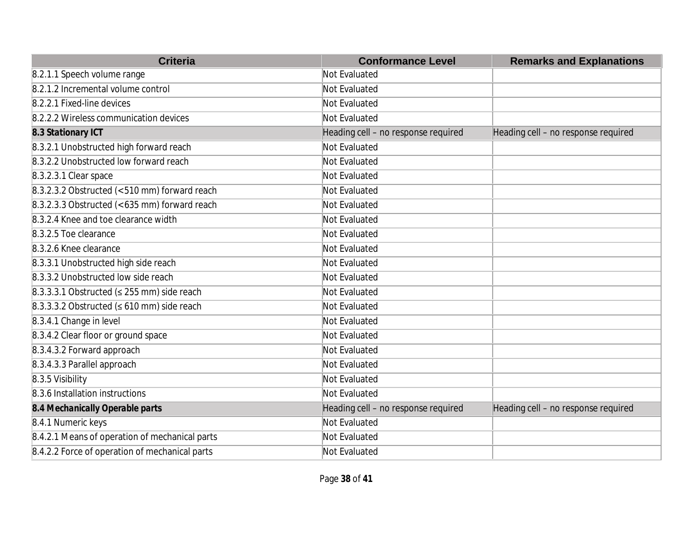| <b>Criteria</b>                                  | <b>Conformance Level</b>            | <b>Remarks and Explanations</b>     |
|--------------------------------------------------|-------------------------------------|-------------------------------------|
| 8.2.1.1 Speech volume range                      | Not Evaluated                       |                                     |
| 8.2.1.2 Incremental volume control               | Not Evaluated                       |                                     |
| 8.2.2.1 Fixed-line devices                       | Not Evaluated                       |                                     |
| 8.2.2.2 Wireless communication devices           | Not Evaluated                       |                                     |
| 8.3 Stationary ICT                               | Heading cell - no response required | Heading cell - no response required |
| 8.3.2.1 Unobstructed high forward reach          | Not Evaluated                       |                                     |
| 8.3.2.2 Unobstructed low forward reach           | Not Evaluated                       |                                     |
| 8.3.2.3.1 Clear space                            | Not Evaluated                       |                                     |
| $8.3.2.3.2$ Obstructed (< 510 mm) forward reach  | Not Evaluated                       |                                     |
| $8.3.2.3.3$ Obstructed (< 635 mm) forward reach  | Not Evaluated                       |                                     |
| 8.3.2.4 Knee and toe clearance width             | Not Evaluated                       |                                     |
| 8.3.2.5 Toe clearance                            | <b>Not Evaluated</b>                |                                     |
| 8.3.2.6 Knee clearance                           | Not Evaluated                       |                                     |
| 8.3.3.1 Unobstructed high side reach             | Not Evaluated                       |                                     |
| 8.3.3.2 Unobstructed low side reach              | <b>Not Evaluated</b>                |                                     |
| 8.3.3.3.1 Obstructed ( $\leq$ 255 mm) side reach | Not Evaluated                       |                                     |
| 8.3.3.3.2 Obstructed ( $\leq 610$ mm) side reach | Not Evaluated                       |                                     |
| 8.3.4.1 Change in level                          | Not Evaluated                       |                                     |
| 8.3.4.2 Clear floor or ground space              | Not Evaluated                       |                                     |
| 8.3.4.3.2 Forward approach                       | Not Evaluated                       |                                     |
| 8.3.4.3.3 Parallel approach                      | Not Evaluated                       |                                     |
| 8.3.5 Visibility                                 | Not Evaluated                       |                                     |
| 8.3.6 Installation instructions                  | Not Evaluated                       |                                     |
| 8.4 Mechanically Operable parts                  | Heading cell - no response required | Heading cell - no response required |
| 8.4.1 Numeric keys                               | Not Evaluated                       |                                     |
| 8.4.2.1 Means of operation of mechanical parts   | Not Evaluated                       |                                     |
| 8.4.2.2 Force of operation of mechanical parts   | Not Evaluated                       |                                     |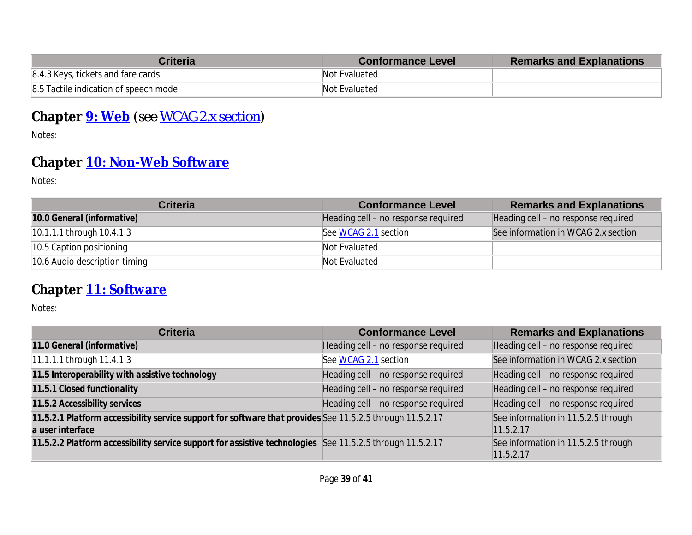| <b>Criteria</b>                       | <b>Conformance Level</b> | <b>Remarks and Explanations</b> |
|---------------------------------------|--------------------------|---------------------------------|
| 8.4.3 Keys, tickets and fare cards    | Not Evaluated            |                                 |
| 8.5 Tactile indication of speech mode | Not Evaluated            |                                 |

# **Chapter [9: Web](https://www.etsi.org/deliver/etsi_en/301500_301599/301549/03.01.01_60/en_301549v030101p.pdf#%5B%7B%22num%22%3A113%2C%22gen%22%3A0%7D%2C%7B%22name%22%3A%22XYZ%22%7D%2C54%2C747%2C0%5D)** *(see [WCAG 2.x](#page-1-0) section)*

Notes:

# **Chapter [10: Non-Web Software](https://www.etsi.org/deliver/etsi_en/301500_301599/301549/03.01.01_60/en_301549v030101p.pdf#%5B%7B%22num%22%3A127%2C%22gen%22%3A0%7D%2C%7B%22name%22%3A%22XYZ%22%7D%2C54%2C747%2C0%5D)**

Notes:

| <b>Criteria</b>               | <b>Conformance Level</b>            | <b>Remarks and Explanations</b>     |
|-------------------------------|-------------------------------------|-------------------------------------|
| 10.0 General (informative)    | Heading cell – no response required | Heading cell – no response required |
| $10.1.1.1$ through 10.4.1.3   | See WCAG 2.1 section                | See information in WCAG 2.x section |
| 10.5 Caption positioning      | Not Evaluated                       |                                     |
| 10.6 Audio description timing | Not Evaluated                       |                                     |

#### **Chapter [11: Software](https://www.etsi.org/deliver/etsi_en/301500_301599/301549/03.01.01_60/en_301549v030101p.pdf#%5B%7B%22num%22%3A149%2C%22gen%22%3A0%7D%2C%7B%22name%22%3A%22XYZ%22%7D%2C54%2C747%2C0%5D)**

| <b>Criteria</b>                                                                                                               | <b>Conformance Level</b>            | <b>Remarks and Explanations</b>                  |
|-------------------------------------------------------------------------------------------------------------------------------|-------------------------------------|--------------------------------------------------|
| 11.0 General (informative)                                                                                                    | Heading cell - no response required | Heading cell - no response required              |
| 11.1.1.1 through 11.4.1.3                                                                                                     | See WCAG 2.1 section                | See information in WCAG 2.x section              |
| 11.5 Interoperability with assistive technology                                                                               | Heading cell - no response required | Heading cell - no response required              |
| 11.5.1 Closed functionality                                                                                                   | Heading cell - no response required | Heading cell - no response required              |
| 11.5.2 Accessibility services                                                                                                 | Heading cell - no response required | Heading cell - no response required              |
| 11.5.2.1 Platform accessibility service support for software that provides See 11.5.2.5 through 11.5.2.17<br>a user interface |                                     | See information in 11.5.2.5 through<br>11.5.2.17 |
| 11.5.2.2 Platform accessibility service support for assistive technologies See 11.5.2.5 through 11.5.2.17                     |                                     | See information in 11.5.2.5 through<br>11.5.2.17 |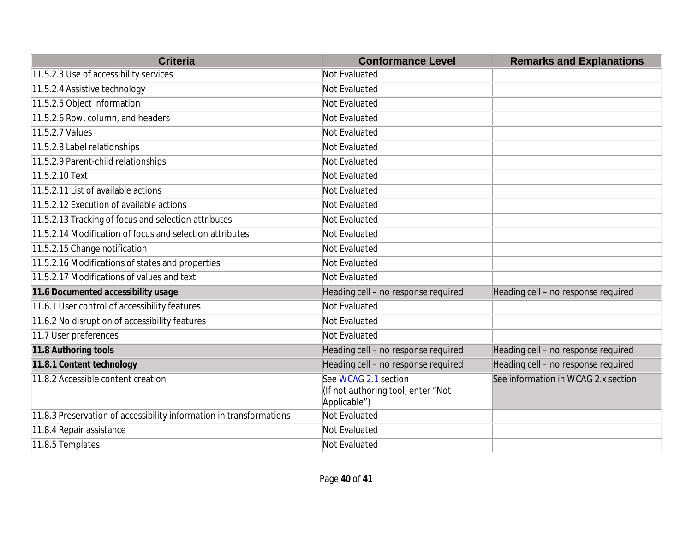| <b>Criteria</b>                                                     | <b>Conformance Level</b>                                                   | <b>Remarks and Explanations</b>     |
|---------------------------------------------------------------------|----------------------------------------------------------------------------|-------------------------------------|
| 11.5.2.3 Use of accessibility services                              | Not Evaluated                                                              |                                     |
| 11.5.2.4 Assistive technology                                       | Not Evaluated                                                              |                                     |
| 11.5.2.5 Object information                                         | Not Evaluated                                                              |                                     |
| 11.5.2.6 Row, column, and headers                                   | Not Evaluated                                                              |                                     |
| 11.5.2.7 Values                                                     | Not Evaluated                                                              |                                     |
| 11.5.2.8 Label relationships                                        | Not Evaluated                                                              |                                     |
| 11.5.2.9 Parent-child relationships                                 | Not Evaluated                                                              |                                     |
| 11.5.2.10 Text                                                      | Not Evaluated                                                              |                                     |
| 11.5.2.11 List of available actions                                 | Not Evaluated                                                              |                                     |
| 11.5.2.12 Execution of available actions                            | Not Evaluated                                                              |                                     |
| 11.5.2.13 Tracking of focus and selection attributes                | Not Evaluated                                                              |                                     |
| 11.5.2.14 Modification of focus and selection attributes            | Not Evaluated                                                              |                                     |
| 11.5.2.15 Change notification                                       | Not Evaluated                                                              |                                     |
| 11.5.2.16 Modifications of states and properties                    | Not Evaluated                                                              |                                     |
| 11.5.2.17 Modifications of values and text                          | Not Evaluated                                                              |                                     |
| 11.6 Documented accessibility usage                                 | Heading cell - no response required                                        | Heading cell - no response required |
| 11.6.1 User control of accessibility features                       | Not Evaluated                                                              |                                     |
| 11.6.2 No disruption of accessibility features                      | Not Evaluated                                                              |                                     |
| 11.7 User preferences                                               | Not Evaluated                                                              |                                     |
| 11.8 Authoring tools                                                | Heading cell - no response required                                        | Heading cell - no response required |
| 11.8.1 Content technology                                           | Heading cell - no response required                                        | Heading cell - no response required |
| 11.8.2 Accessible content creation                                  | See WCAG 2.1 section<br>(If not authoring tool, enter "Not<br>Applicable") | See information in WCAG 2.x section |
| 11.8.3 Preservation of accessibility information in transformations | Not Evaluated                                                              |                                     |
| 11.8.4 Repair assistance                                            | Not Evaluated                                                              |                                     |
| 11.8.5 Templates                                                    | Not Evaluated                                                              |                                     |